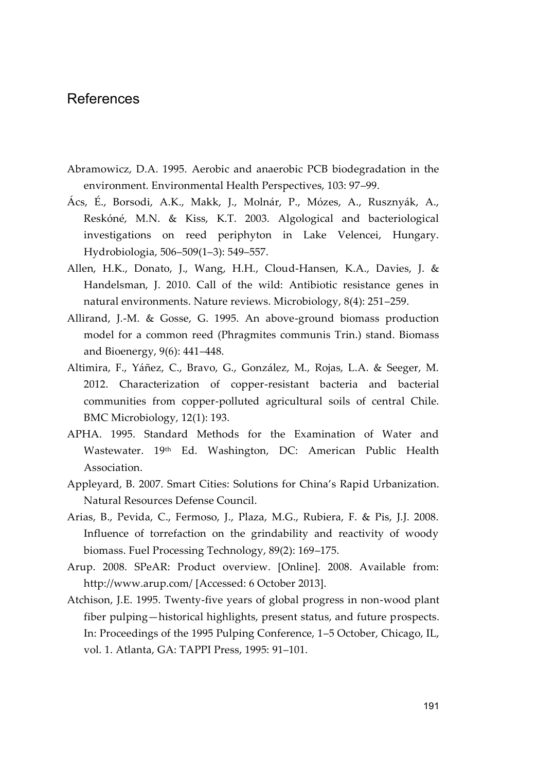## References

- Abramowicz, D.A. 1995. Aerobic and anaerobic PCB biodegradation in the environment. Environmental Health Perspectives, 103: 97–99.
- Ács, É., Borsodi, A.K., Makk, J., Molnár, P., Mózes, A., Rusznyák, A., Reskóné, M.N. & Kiss, K.T. 2003. Algological and bacteriological investigations on reed periphyton in Lake Velencei, Hungary. Hydrobiologia, 506–509(1–3): 549–557.
- Allen, H.K., Donato, J., Wang, H.H., Cloud-Hansen, K.A., Davies, J. & Handelsman, J. 2010. Call of the wild: Antibiotic resistance genes in natural environments. Nature reviews. Microbiology, 8(4): 251–259.
- Allirand, J.-M. & Gosse, G. 1995. An above-ground biomass production model for a common reed (Phragmites communis Trin.) stand. Biomass and Bioenergy, 9(6): 441–448.
- Altimira, F., Yáñez, C., Bravo, G., González, M., Rojas, L.A. & Seeger, M. 2012. Characterization of copper-resistant bacteria and bacterial communities from copper-polluted agricultural soils of central Chile. BMC Microbiology, 12(1): 193.
- APHA. 1995. Standard Methods for the Examination of Water and Wastewater. 19<sup>th</sup> Ed. Washington, DC: American Public Health Association.
- Appleyard, B. 2007. Smart Cities: Solutions for China's Rapid Urbanization. Natural Resources Defense Council.
- Arias, B., Pevida, C., Fermoso, J., Plaza, M.G., Rubiera, F. & Pis, J.J. 2008. Influence of torrefaction on the grindability and reactivity of woody biomass. Fuel Processing Technology, 89(2): 169–175.
- Arup. 2008. SPeAR: Product overview. [Online]. 2008. Available from: http://www.arup.com/ [Accessed: 6 October 2013].
- Atchison, J.E. 1995. Twenty-five years of global progress in non-wood plant fiber pulping—historical highlights, present status, and future prospects. In: Proceedings of the 1995 Pulping Conference, 1–5 October, Chicago, IL, vol. 1. Atlanta, GA: TAPPI Press, 1995: 91–101.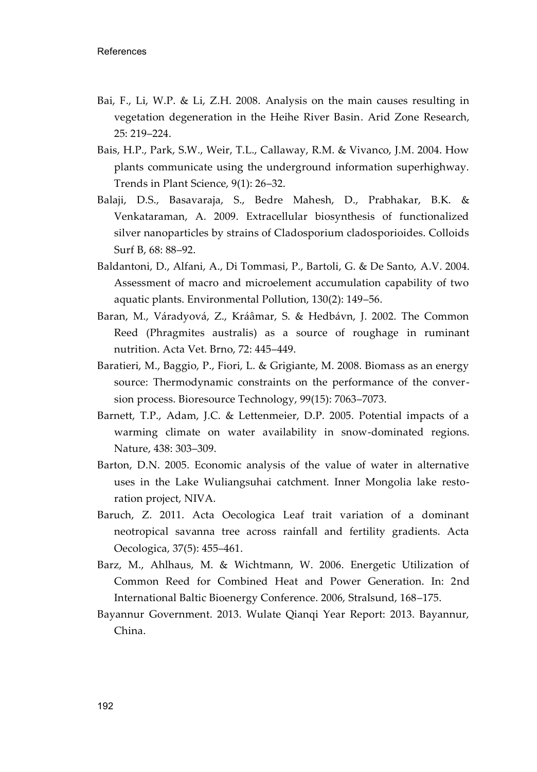- Bai, F., Li, W.P. & Li, Z.H. 2008. Analysis on the main causes resulting in vegetation degeneration in the Heihe River Basin. Arid Zone Research, 25: 219–224.
- Bais, H.P., Park, S.W., Weir, T.L., Callaway, R.M. & Vivanco, J.M. 2004. How plants communicate using the underground information superhighway. Trends in Plant Science, 9(1): 26–32.
- Balaji, D.S., Basavaraja, S., Bedre Mahesh, D., Prabhakar, B.K. & Venkataraman, A. 2009. Extracellular biosynthesis of functionalized silver nanoparticles by strains of Cladosporium cladosporioides. Colloids Surf B, 68: 88–92.
- Baldantoni, D., Alfani, A., Di Tommasi, P., Bartoli, G. & De Santo, A.V. 2004. Assessment of macro and microelement accumulation capability of two aquatic plants. Environmental Pollution, 130(2): 149–56.
- Baran, M., Váradyová, Z., Kráâmar, S. & Hedbávn, J. 2002. The Common Reed (Phragmites australis) as a source of roughage in ruminant nutrition. Acta Vet. Brno, 72: 445–449.
- Baratieri, M., Baggio, P., Fiori, L. & Grigiante, M. 2008. Biomass as an energy source: Thermodynamic constraints on the performance of the conversion process. Bioresource Technology, 99(15): 7063–7073.
- Barnett, T.P., Adam, J.C. & Lettenmeier, D.P. 2005. Potential impacts of a warming climate on water availability in snow-dominated regions. Nature, 438: 303–309.
- Barton, D.N. 2005. Economic analysis of the value of water in alternative uses in the Lake Wuliangsuhai catchment. Inner Mongolia lake restoration project, NIVA.
- Baruch, Z. 2011. Acta Oecologica Leaf trait variation of a dominant neotropical savanna tree across rainfall and fertility gradients. Acta Oecologica, 37(5): 455–461.
- Barz, M., Ahlhaus, M. & Wichtmann, W. 2006. Energetic Utilization of Common Reed for Combined Heat and Power Generation. In: 2nd International Baltic Bioenergy Conference. 2006, Stralsund, 168–175.
- Bayannur Government. 2013. Wulate Qianqi Year Report: 2013. Bayannur, China.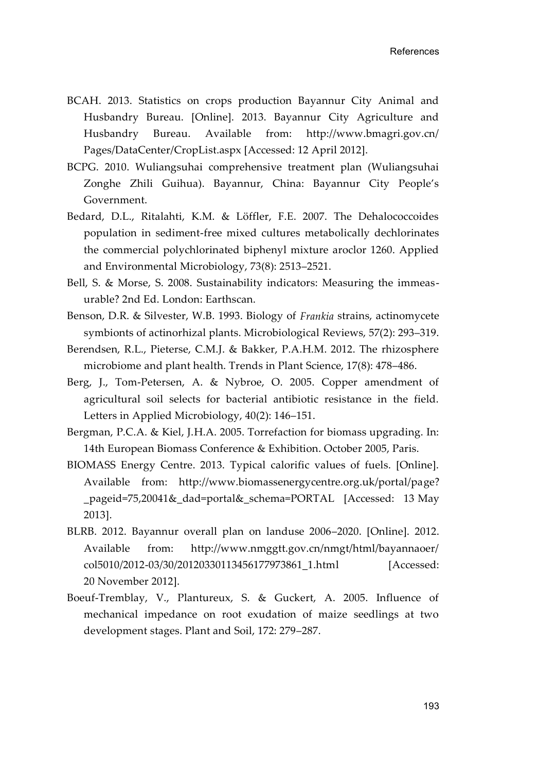- BCAH. 2013. Statistics on crops production Bayannur City Animal and Husbandry Bureau. [Online]. 2013. Bayannur City Agriculture and Husbandry Bureau. Available from: http://www.bmagri.gov.cn/ Pages/DataCenter/CropList.aspx [Accessed: 12 April 2012].
- BCPG. 2010. Wuliangsuhai comprehensive treatment plan (Wuliangsuhai Zonghe Zhili Guihua). Bayannur, China: Bayannur City People's Government.
- Bedard, D.L., Ritalahti, K.M. & Löffler, F.E. 2007. The Dehalococcoides population in sediment-free mixed cultures metabolically dechlorinates the commercial polychlorinated biphenyl mixture aroclor 1260. Applied and Environmental Microbiology, 73(8): 2513–2521.
- Bell, S. & Morse, S. 2008. Sustainability indicators: Measuring the immeasurable? 2nd Ed. London: Earthscan.
- Benson, D.R. & Silvester, W.B. 1993. Biology of *Frankia* strains, actinomycete symbionts of actinorhizal plants. Microbiological Reviews, 57(2): 293–319.
- Berendsen, R.L., Pieterse, C.M.J. & Bakker, P.A.H.M. 2012. The rhizosphere microbiome and plant health. Trends in Plant Science, 17(8): 478–486.
- Berg, J., Tom-Petersen, A. & Nybroe, O. 2005. Copper amendment of agricultural soil selects for bacterial antibiotic resistance in the field. Letters in Applied Microbiology, 40(2): 146–151.
- Bergman, P.C.A. & Kiel, J.H.A. 2005. Torrefaction for biomass upgrading. In: 14th European Biomass Conference & Exhibition. October 2005, Paris.
- BIOMASS Energy Centre. 2013. Typical calorific values of fuels. [Online]. Available from: http://www.biomassenergycentre.org.uk/portal/page? \_pageid=75,20041&\_dad=portal&\_schema=PORTAL [Accessed: 13 May 2013].
- BLRB. 2012. Bayannur overall plan on landuse 2006–2020. [Online]. 2012. Available from: http://www.nmggtt.gov.cn/nmgt/html/bayannaoer/ col5010/2012-03/30/20120330113456177973861\_1.html [Accessed: 20 November 2012].
- Boeuf-Tremblay, V., Plantureux, S. & Guckert, A. 2005. Influence of mechanical impedance on root exudation of maize seedlings at two development stages. Plant and Soil, 172: 279–287.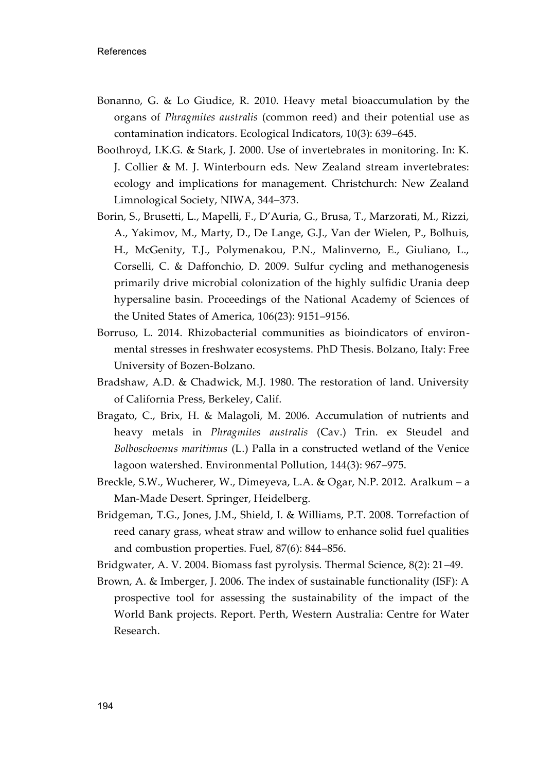- Bonanno, G. & Lo Giudice, R. 2010. Heavy metal bioaccumulation by the organs of *Phragmites australis* (common reed) and their potential use as contamination indicators. Ecological Indicators, 10(3): 639–645.
- Boothroyd, I.K.G. & Stark, J. 2000. Use of invertebrates in monitoring. In: K. J. Collier & M. J. Winterbourn eds. New Zealand stream invertebrates: ecology and implications for management. Christchurch: New Zealand Limnological Society, NIWA, 344–373.
- Borin, S., Brusetti, L., Mapelli, F., D'Auria, G., Brusa, T., Marzorati, M., Rizzi, A., Yakimov, M., Marty, D., De Lange, G.J., Van der Wielen, P., Bolhuis, H., McGenity, T.J., Polymenakou, P.N., Malinverno, E., Giuliano, L., Corselli, C. & Daffonchio, D. 2009. Sulfur cycling and methanogenesis primarily drive microbial colonization of the highly sulfidic Urania deep hypersaline basin. Proceedings of the National Academy of Sciences of the United States of America, 106(23): 9151–9156.
- Borruso, L. 2014. Rhizobacterial communities as bioindicators of environmental stresses in freshwater ecosystems. PhD Thesis. Bolzano, Italy: Free University of Bozen-Bolzano.
- Bradshaw, A.D. & Chadwick, M.J. 1980. The restoration of land. University of California Press, Berkeley, Calif.
- Bragato, C., Brix, H. & Malagoli, M. 2006. Accumulation of nutrients and heavy metals in *Phragmites australis* (Cav.) Trin. ex Steudel and *Bolboschoenus maritimus* (L.) Palla in a constructed wetland of the Venice lagoon watershed. Environmental Pollution, 144(3): 967–975.
- Breckle, S.W., Wucherer, W., Dimeyeva, L.A. & Ogar, N.P. 2012. Aralkum a Man-Made Desert. Springer, Heidelberg.
- Bridgeman, T.G., Jones, J.M., Shield, I. & Williams, P.T. 2008. Torrefaction of reed canary grass, wheat straw and willow to enhance solid fuel qualities and combustion properties. Fuel, 87(6): 844–856.
- Bridgwater, A. V. 2004. Biomass fast pyrolysis. Thermal Science, 8(2): 21–49.
- Brown, A. & Imberger, J. 2006. The index of sustainable functionality (ISF): A prospective tool for assessing the sustainability of the impact of the World Bank projects. Report. Perth, Western Australia: Centre for Water Research.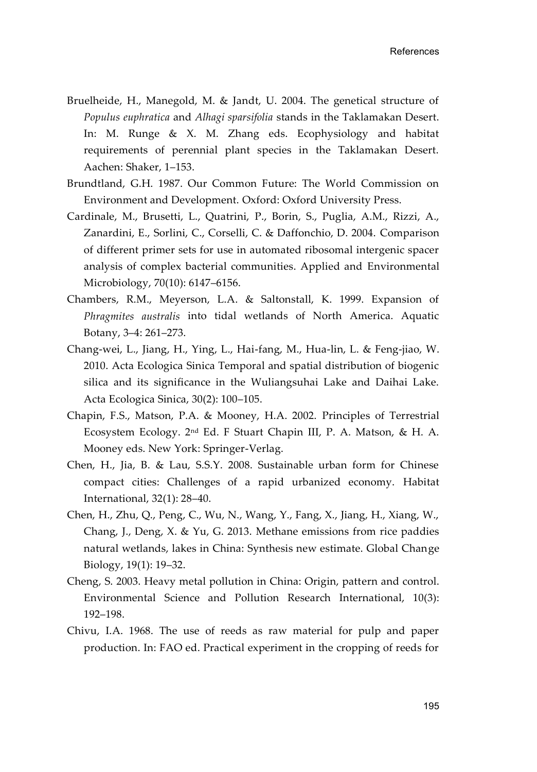- Bruelheide, H., Manegold, M. & Jandt, U. 2004. The genetical structure of *Populus euphratica* and *Alhagi sparsifolia* stands in the Taklamakan Desert. In: M. Runge & X. M. Zhang eds. Ecophysiology and habitat requirements of perennial plant species in the Taklamakan Desert. Aachen: Shaker, 1–153.
- Brundtland, G.H. 1987. Our Common Future: The World Commission on Environment and Development. Oxford: Oxford University Press.
- Cardinale, M., Brusetti, L., Quatrini, P., Borin, S., Puglia, A.M., Rizzi, A., Zanardini, E., Sorlini, C., Corselli, C. & Daffonchio, D. 2004. Comparison of different primer sets for use in automated ribosomal intergenic spacer analysis of complex bacterial communities. Applied and Environmental Microbiology, 70(10): 6147–6156.
- Chambers, R.M., Meyerson, L.A. & Saltonstall, K. 1999. Expansion of *Phragmites australis* into tidal wetlands of North America. Aquatic Botany, 3–4: 261–273.
- Chang-wei, L., Jiang, H., Ying, L., Hai-fang, M., Hua-lin, L. & Feng-jiao, W. 2010. Acta Ecologica Sinica Temporal and spatial distribution of biogenic silica and its significance in the Wuliangsuhai Lake and Daihai Lake. Acta Ecologica Sinica, 30(2): 100–105.
- Chapin, F.S., Matson, P.A. & Mooney, H.A. 2002. Principles of Terrestrial Ecosystem Ecology. 2nd Ed. F Stuart Chapin III, P. A. Matson, & H. A. Mooney eds. New York: Springer-Verlag.
- Chen, H., Jia, B. & Lau, S.S.Y. 2008. Sustainable urban form for Chinese compact cities: Challenges of a rapid urbanized economy. Habitat International, 32(1): 28–40.
- Chen, H., Zhu, Q., Peng, C., Wu, N., Wang, Y., Fang, X., Jiang, H., Xiang, W., Chang, J., Deng, X. & Yu, G. 2013. Methane emissions from rice paddies natural wetlands, lakes in China: Synthesis new estimate. Global Change Biology, 19(1): 19–32.
- Cheng, S. 2003. Heavy metal pollution in China: Origin, pattern and control. Environmental Science and Pollution Research International, 10(3): 192–198.
- Chivu, I.A. 1968. The use of reeds as raw material for pulp and paper production. In: FAO ed. Practical experiment in the cropping of reeds for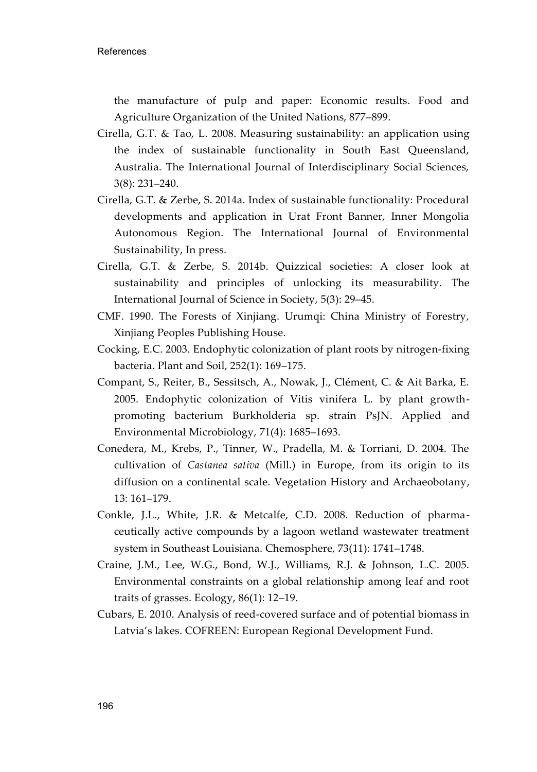the manufacture of pulp and paper: Economic results. Food and Agriculture Organization of the United Nations, 877–899.

- Cirella, G.T. & Tao, L. 2008. Measuring sustainability: an application using the index of sustainable functionality in South East Queensland, Australia. The International Journal of Interdisciplinary Social Sciences, 3(8): 231–240.
- Cirella, G.T. & Zerbe, S. 2014a. Index of sustainable functionality: Procedural developments and application in Urat Front Banner, Inner Mongolia Autonomous Region. The International Journal of Environmental Sustainability, In press.
- Cirella, G.T. & Zerbe, S. 2014b. Quizzical societies: A closer look at sustainability and principles of unlocking its measurability. The International Journal of Science in Society, 5(3): 29–45.
- CMF. 1990. The Forests of Xinjiang. Urumqi: China Ministry of Forestry, Xinjiang Peoples Publishing House.
- Cocking, E.C. 2003. Endophytic colonization of plant roots by nitrogen-fixing bacteria. Plant and Soil, 252(1): 169–175.
- Compant, S., Reiter, B., Sessitsch, A., Nowak, J., Clément, C. & Ait Barka, E. 2005. Endophytic colonization of Vitis vinifera L. by plant growthpromoting bacterium Burkholderia sp. strain PsJN. Applied and Environmental Microbiology, 71(4): 1685–1693.
- Conedera, M., Krebs, P., Tinner, W., Pradella, M. & Torriani, D. 2004. The cultivation of *Castanea sativa* (Mill.) in Europe, from its origin to its diffusion on a continental scale. [Vegetation History and Archaeobotany,](http://link.springer.com/journal/334)  13: 161–179.
- Conkle, J.L., White, J.R. & Metcalfe, C.D. 2008. Reduction of pharmaceutically active compounds by a lagoon wetland wastewater treatment system in Southeast Louisiana. Chemosphere, 73(11): 1741–1748.
- Craine, J.M., Lee, W.G., Bond, W.J., Williams, R.J. & Johnson, L.C. 2005. Environmental constraints on a global relationship among leaf and root traits of grasses. Ecology, 86(1): 12–19.
- Cubars, E. 2010. Analysis of reed-covered surface and of potential biomass in Latvia's lakes. COFREEN: European Regional Development Fund.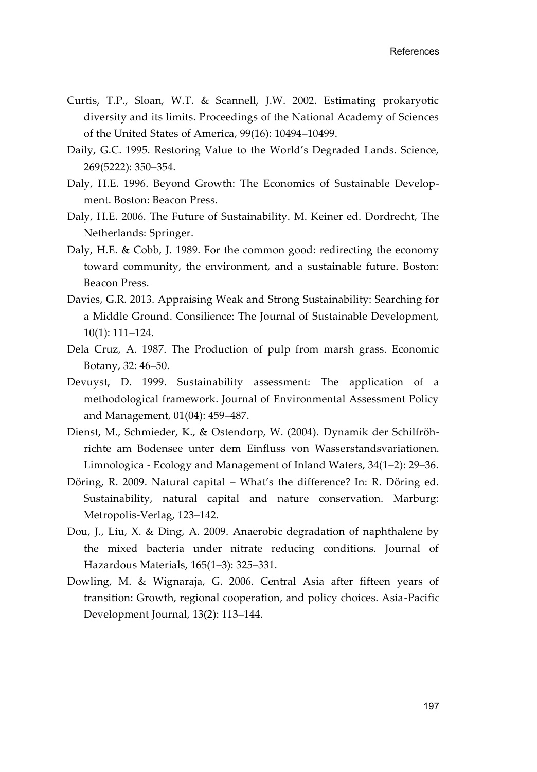- Curtis, T.P., Sloan, W.T. & Scannell, J.W. 2002. Estimating prokaryotic diversity and its limits. Proceedings of the National Academy of Sciences of the United States of America, 99(16): 10494–10499.
- Daily, G.C. 1995. Restoring Value to the World's Degraded Lands. Science, 269(5222): 350–354.
- Daly, H.E. 1996. Beyond Growth: The Economics of Sustainable Development. Boston: Beacon Press.
- Daly, H.E. 2006. The Future of Sustainability. M. Keiner ed. Dordrecht, The Netherlands: Springer.
- Daly, H.E. & Cobb, J. 1989. For the common good: redirecting the economy toward community, the environment, and a sustainable future. Boston: Beacon Press.
- Davies, G.R. 2013. Appraising Weak and Strong Sustainability: Searching for a Middle Ground. Consilience: The Journal of Sustainable Development, 10(1): 111–124.
- Dela Cruz, A. 1987. The Production of pulp from marsh grass. Economic Botany, 32: 46–50.
- Devuyst, D. 1999. Sustainability assessment: The application of a methodological framework. Journal of Environmental Assessment Policy and Management, 01(04): 459–487.
- Dienst, M., Schmieder, K., & Ostendorp, W. (2004). Dynamik der Schilfröhrichte am Bodensee unter dem Einfluss von Wasserstandsvariationen. Limnologica - Ecology and Management of Inland Waters, 34(1–2): 29–36.
- Döring, R. 2009. Natural capital What's the difference? In: R. Döring ed. Sustainability, natural capital and nature conservation. Marburg: Metropolis-Verlag, 123–142.
- Dou, J., Liu, X. & Ding, A. 2009. Anaerobic degradation of naphthalene by the mixed bacteria under nitrate reducing conditions. Journal of Hazardous Materials, 165(1–3): 325–331.
- Dowling, M. & Wignaraja, G. 2006. Central Asia after fifteen years of transition: Growth, regional cooperation, and policy choices. Asia-Pacific Development Journal, 13(2): 113–144.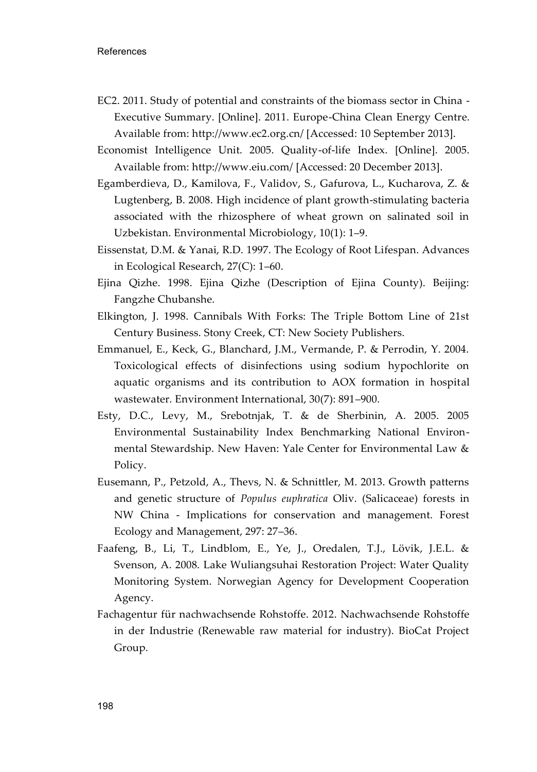- EC2. 2011. Study of potential and constraints of the biomass sector in China Executive Summary. [Online]. 2011. Europe-China Clean Energy Centre. Available from: http://www.ec2.org.cn/ [Accessed: 10 September 2013].
- Economist Intelligence Unit. 2005. Quality-of-life Index. [Online]. 2005. Available from: http://www.eiu.com/ [Accessed: 20 December 2013].
- Egamberdieva, D., Kamilova, F., Validov, S., Gafurova, L., Kucharova, Z. & Lugtenberg, B. 2008. High incidence of plant growth-stimulating bacteria associated with the rhizosphere of wheat grown on salinated soil in Uzbekistan. Environmental Microbiology, 10(1): 1–9.
- Eissenstat, D.M. & Yanai, R.D. 1997. The Ecology of Root Lifespan. Advances in Ecological Research, 27(C): 1–60.
- Ejina Qizhe. 1998. Ejina Qizhe (Description of Ejina County). Beijing: Fangzhe Chubanshe.
- Elkington, J. 1998. Cannibals With Forks: The Triple Bottom Line of 21st Century Business. Stony Creek, CT: New Society Publishers.
- Emmanuel, E., Keck, G., Blanchard, J.M., Vermande, P. & Perrodin, Y. 2004. Toxicological effects of disinfections using sodium hypochlorite on aquatic organisms and its contribution to AOX formation in hospital wastewater. Environment International, 30(7): 891–900.
- Esty, D.C., Levy, M., Srebotnjak, T. & de Sherbinin, A. 2005. 2005 Environmental Sustainability Index Benchmarking National Environmental Stewardship. New Haven: Yale Center for Environmental Law & Policy.
- Eusemann, P., Petzold, A., Thevs, N. & Schnittler, M. 2013. Growth patterns and genetic structure of *Populus euphratica* Oliv. (Salicaceae) forests in NW China - Implications for conservation and management. Forest Ecology and Management, 297: 27–36.
- Faafeng, B., Li, T., Lindblom, E., Ye, J., Oredalen, T.J., Lövik, J.E.L. & Svenson, A. 2008. Lake Wuliangsuhai Restoration Project: Water Quality Monitoring System. Norwegian Agency for Development Cooperation Agency.
- Fachagentur für nachwachsende Rohstoffe. 2012. Nachwachsende Rohstoffe in der Industrie (Renewable raw material for industry). BioCat Project Group.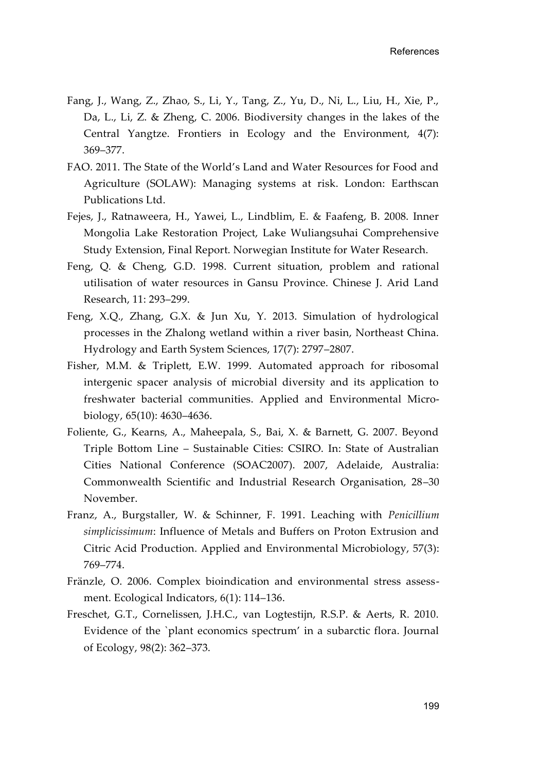- Fang, J., Wang, Z., Zhao, S., Li, Y., Tang, Z., Yu, D., Ni, L., Liu, H., Xie, P., Da, L., Li, Z. & Zheng, C. 2006. Biodiversity changes in the lakes of the Central Yangtze. Frontiers in Ecology and the Environment, 4(7): 369–377.
- FAO. 2011. The State of the World's Land and Water Resources for Food and Agriculture (SOLAW): Managing systems at risk. London: Earthscan Publications Ltd.
- Fejes, J., Ratnaweera, H., Yawei, L., Lindblim, E. & Faafeng, B. 2008. Inner Mongolia Lake Restoration Project, Lake Wuliangsuhai Comprehensive Study Extension, Final Report. Norwegian Institute for Water Research.
- Feng, Q. & Cheng, G.D. 1998. Current situation, problem and rational utilisation of water resources in Gansu Province. Chinese J. Arid Land Research, 11: 293–299.
- Feng, X.Q., Zhang, G.X. & Jun Xu, Y. 2013. Simulation of hydrological processes in the Zhalong wetland within a river basin, Northeast China. Hydrology and Earth System Sciences, 17(7): 2797–2807.
- Fisher, M.M. & Triplett, E.W. 1999. Automated approach for ribosomal intergenic spacer analysis of microbial diversity and its application to freshwater bacterial communities. Applied and Environmental Microbiology, 65(10): 4630–4636.
- Foliente, G., Kearns, A., Maheepala, S., Bai, X. & Barnett, G. 2007. Beyond Triple Bottom Line – Sustainable Cities: CSIRO. In: State of Australian Cities National Conference (SOAC2007). 2007, Adelaide, Australia: Commonwealth Scientific and Industrial Research Organisation, 28–30 November.
- Franz, A., Burgstaller, W. & Schinner, F. 1991. Leaching with *Penicillium simplicissimum*: Influence of Metals and Buffers on Proton Extrusion and Citric Acid Production. Applied and Environmental Microbiology, 57(3): 769–774.
- Fränzle, O. 2006. Complex bioindication and environmental stress assessment. Ecological Indicators, 6(1): 114–136.
- Freschet, G.T., Cornelissen, J.H.C., van Logtestijn, R.S.P. & Aerts, R. 2010. Evidence of the `plant economics spectrum' in a subarctic flora. Journal of Ecology, 98(2): 362–373.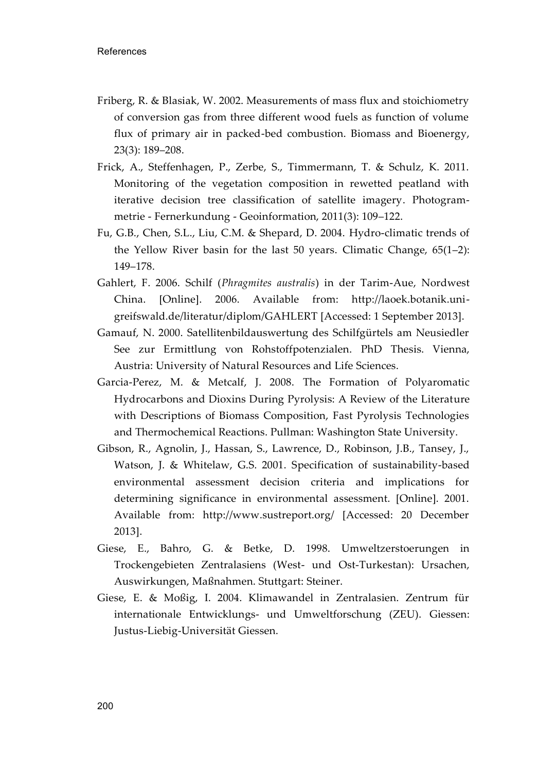- Friberg, R. & Blasiak, W. 2002. Measurements of mass flux and stoichiometry of conversion gas from three different wood fuels as function of volume flux of primary air in packed-bed combustion. Biomass and Bioenergy, 23(3): 189–208.
- Frick, A., Steffenhagen, P., Zerbe, S., Timmermann, T. & Schulz, K. 2011. Monitoring of the vegetation composition in rewetted peatland with iterative decision tree classification of satellite imagery. Photogrammetrie - Fernerkundung - Geoinformation, 2011(3): 109–122.
- Fu, G.B., Chen, S.L., Liu, C.M. & Shepard, D. 2004. Hydro-climatic trends of the Yellow River basin for the last 50 years. Climatic Change, 65(1–2): 149–178.
- Gahlert, F. 2006. Schilf (*Phragmites australis*) in der Tarim-Aue, Nordwest China. [Online]. 2006. Available from: http://laoek.botanik.unigreifswald.de/literatur/diplom/GAHLERT [Accessed: 1 September 2013].
- Gamauf, N. 2000. Satellitenbildauswertung des Schilfgürtels am Neusiedler See zur Ermittlung von Rohstoffpotenzialen. PhD Thesis. Vienna, Austria: University of Natural Resources and Life Sciences.
- Garcia-Perez, M. & Metcalf, J. 2008. The Formation of Polyaromatic Hydrocarbons and Dioxins During Pyrolysis: A Review of the Literature with Descriptions of Biomass Composition, Fast Pyrolysis Technologies and Thermochemical Reactions. Pullman: Washington State University.
- Gibson, R., Agnolin, J., Hassan, S., Lawrence, D., Robinson, J.B., Tansey, J., Watson, J. & Whitelaw, G.S. 2001. Specification of sustainability-based environmental assessment decision criteria and implications for determining significance in environmental assessment. [Online]. 2001. Available from: http://www.sustreport.org/ [Accessed: 20 December 2013].
- Giese, E., Bahro, G. & Betke, D. 1998. Umweltzerstoerungen in Trockengebieten Zentralasiens (West- und Ost-Turkestan): Ursachen, Auswirkungen, Maßnahmen. Stuttgart: Steiner.
- Giese, E. & Moßig, I. 2004. Klimawandel in Zentralasien. Zentrum für internationale Entwicklungs- und Umweltforschung (ZEU). Giessen: Justus-Liebig-Universität Giessen.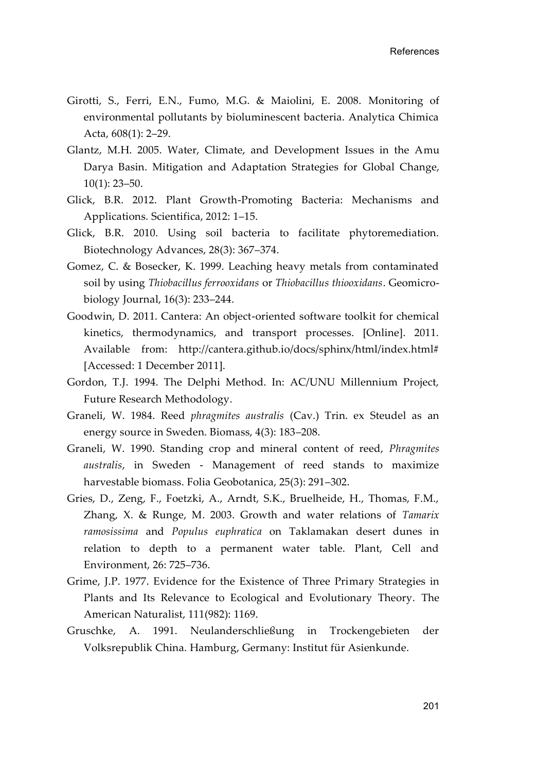- Girotti, S., Ferri, E.N., Fumo, M.G. & Maiolini, E. 2008. Monitoring of environmental pollutants by bioluminescent bacteria. Analytica Chimica Acta, 608(1): 2–29.
- Glantz, M.H. 2005. Water, Climate, and Development Issues in the Amu Darya Basin. Mitigation and Adaptation Strategies for Global Change, 10(1): 23–50.
- Glick, B.R. 2012. Plant Growth-Promoting Bacteria: Mechanisms and Applications. Scientifica, 2012: 1–15.
- Glick, B.R. 2010. Using soil bacteria to facilitate phytoremediation. Biotechnology Advances, 28(3): 367–374.
- Gomez, C. & Bosecker, K. 1999. Leaching heavy metals from contaminated soil by using *Thiobacillus ferrooxidans* or *Thiobacillus thiooxidans*. Geomicrobiology Journal, 16(3): 233–244.
- Goodwin, D. 2011. Cantera: An object-oriented software toolkit for chemical kinetics, thermodynamics, and transport processes. [Online]. 2011. Available from: http://cantera.github.io/docs/sphinx/html/index.html# [Accessed: 1 December 2011].
- Gordon, T.J. 1994. The Delphi Method. In: AC/UNU Millennium Project, Future Research Methodology.
- Graneli, W. 1984. Reed *phragmites australis* (Cav.) Trin. ex Steudel as an energy source in Sweden. Biomass, 4(3): 183–208.
- Graneli, W. 1990. Standing crop and mineral content of reed, *Phragmites australis*, in Sweden - Management of reed stands to maximize harvestable biomass. Folia Geobotanica, 25(3): 291–302.
- Gries, D., Zeng, F., Foetzki, A., Arndt, S.K., Bruelheide, H., Thomas, F.M., Zhang, X. & Runge, M. 2003. Growth and water relations of *Tamarix ramosissima* and *Populus euphratica* on Taklamakan desert dunes in relation to depth to a permanent water table. Plant, Cell and Environment, 26: 725–736.
- Grime, J.P. 1977. Evidence for the Existence of Three Primary Strategies in Plants and Its Relevance to Ecological and Evolutionary Theory. The American Naturalist, 111(982): 1169.
- Gruschke, A. 1991. Neulanderschließung in Trockengebieten der Volksrepublik China. Hamburg, Germany: Institut für Asienkunde.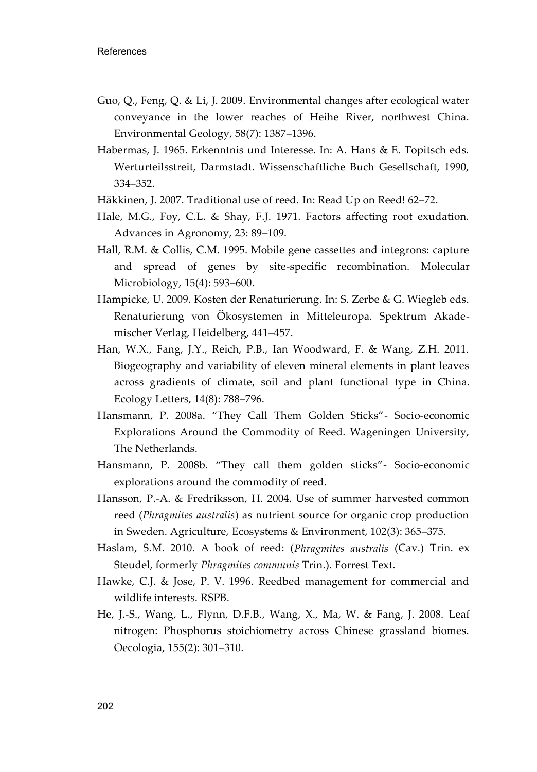- Guo, Q., Feng, Q. & Li, J. 2009. Environmental changes after ecological water conveyance in the lower reaches of Heihe River, northwest China. Environmental Geology, 58(7): 1387–1396.
- Habermas, J. 1965. Erkenntnis und Interesse. In: A. Hans & E. Topitsch eds. Werturteilsstreit, Darmstadt. Wissenschaftliche Buch Gesellschaft, 1990, 334–352.
- Häkkinen, J. 2007. Traditional use of reed. In: Read Up on Reed! 62–72.
- Hale, M.G., Foy, C.L. & Shay, F.J. 1971. Factors affecting root exudation. Advances in Agronomy, 23: 89–109.
- Hall, R.M. & Collis, C.M. 1995. Mobile gene cassettes and integrons: capture and spread of genes by site-specific recombination. Molecular Microbiology, 15(4): 593–600.
- Hampicke, U. 2009. Kosten der Renaturierung. In: S. Zerbe & G. Wiegleb eds. Renaturierung von Ökosystemen in Mitteleuropa. Spektrum Akademischer Verlag, Heidelberg, 441–457.
- Han, W.X., Fang, J.Y., Reich, P.B., Ian Woodward, F. & Wang, Z.H. 2011. Biogeography and variability of eleven mineral elements in plant leaves across gradients of climate, soil and plant functional type in China. Ecology Letters, 14(8): 788–796.
- Hansmann, P. 2008a. "They Call Them Golden Sticks"- Socio-economic Explorations Around the Commodity of Reed. Wageningen University, The Netherlands.
- Hansmann, P. 2008b. "They call them golden sticks"- Socio-economic explorations around the commodity of reed.
- Hansson, P.-A. & Fredriksson, H. 2004. Use of summer harvested common reed (*Phragmites australis*) as nutrient source for organic crop production in Sweden. Agriculture, Ecosystems & Environment, 102(3): 365–375.
- Haslam, S.M. 2010. A book of reed: (*Phragmites australis* (Cav.) Trin. ex Steudel, formerly *Phragmites communis* Trin.). Forrest Text.
- Hawke, C.J. & Jose, P. V. 1996. Reedbed management for commercial and wildlife interests. RSPB.
- He, J.-S., Wang, L., Flynn, D.F.B., Wang, X., Ma, W. & Fang, J. 2008. Leaf nitrogen: Phosphorus stoichiometry across Chinese grassland biomes. Oecologia, 155(2): 301–310.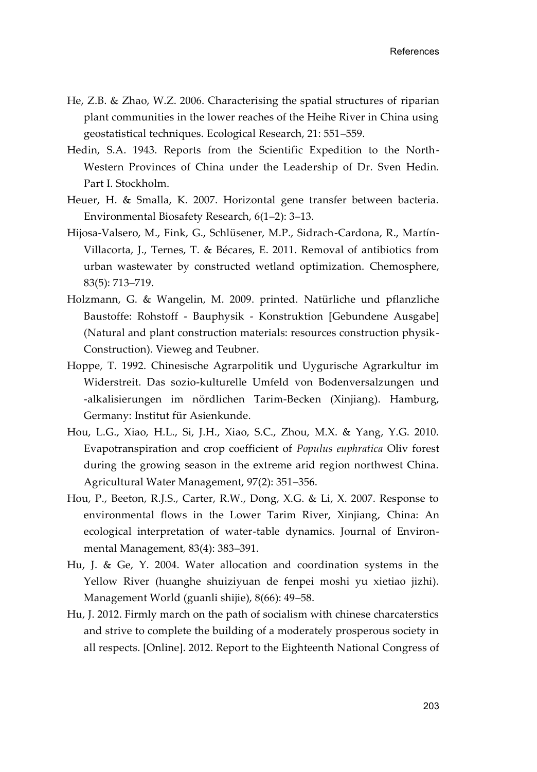- He, Z.B. & Zhao, W.Z. 2006. Characterising the spatial structures of riparian plant communities in the lower reaches of the Heihe River in China using geostatistical techniques. Ecological Research, 21: 551–559.
- Hedin, S.A. 1943. Reports from the Scientific Expedition to the North-Western Provinces of China under the Leadership of Dr. Sven Hedin. Part I. Stockholm.
- Heuer, H. & Smalla, K. 2007. Horizontal gene transfer between bacteria. Environmental Biosafety Research, 6(1–2): 3–13.
- Hijosa-Valsero, M., Fink, G., Schlüsener, M.P., Sidrach-Cardona, R., Martín-Villacorta, J., Ternes, T. & Bécares, E. 2011. Removal of antibiotics from urban wastewater by constructed wetland optimization. Chemosphere, 83(5): 713–719.
- Holzmann, G. & Wangelin, M. 2009. printed. Natürliche und pflanzliche Baustoffe: Rohstoff - Bauphysik - Konstruktion [Gebundene Ausgabe] (Natural and plant construction materials: resources construction physik-Construction). Vieweg and Teubner.
- Hoppe, T. 1992. Chinesische Agrarpolitik und Uygurische Agrarkultur im Widerstreit. Das sozio-kulturelle Umfeld von Bodenversalzungen und -alkalisierungen im nördlichen Tarim-Becken (Xinjiang). Hamburg, Germany: Institut für Asienkunde.
- Hou, L.G., Xiao, H.L., Si, J.H., Xiao, S.C., Zhou, M.X. & Yang, Y.G. 2010. Evapotranspiration and crop coefficient of *Populus euphratica* Oliv forest during the growing season in the extreme arid region northwest China. Agricultural Water Management, 97(2): 351–356.
- Hou, P., Beeton, R.J.S., Carter, R.W., Dong, X.G. & Li, X. 2007. Response to environmental flows in the Lower Tarim River, Xinjiang, China: An ecological interpretation of water-table dynamics. Journal of Environmental Management, 83(4): 383–391.
- Hu, J. & Ge, Y. 2004. Water allocation and coordination systems in the Yellow River (huanghe shuiziyuan de fenpei moshi yu xietiao jizhi). Management World (guanli shijie), 8(66): 49–58.
- Hu, J. 2012. Firmly march on the path of socialism with chinese charcaterstics and strive to complete the building of a moderately prosperous society in all respects. [Online]. 2012. Report to the Eighteenth National Congress of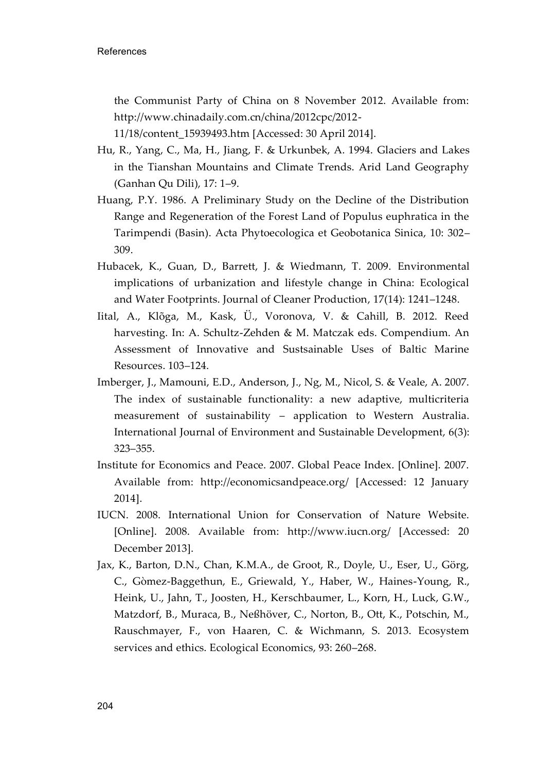the Communist Party of China on 8 November 2012. Available from: http://www.chinadaily.com.cn/china/2012cpc/2012-

11/18/content\_15939493.htm [Accessed: 30 April 2014].

- Hu, R., Yang, C., Ma, H., Jiang, F. & Urkunbek, A. 1994. Glaciers and Lakes in the Tianshan Mountains and Climate Trends. Arid Land Geography (Ganhan Qu Dili), 17: 1–9.
- Huang, P.Y. 1986. A Preliminary Study on the Decline of the Distribution Range and Regeneration of the Forest Land of Populus euphratica in the Tarimpendi (Basin). Acta Phytoecologica et Geobotanica Sinica, 10: 302– 309.
- Hubacek, K., Guan, D., Barrett, J. & Wiedmann, T. 2009. Environmental implications of urbanization and lifestyle change in China: Ecological and Water Footprints. Journal of Cleaner Production, 17(14): 1241–1248.
- Iital, A., Klõga, M., Kask, Ü., Voronova, V. & Cahill, B. 2012. Reed harvesting. In: A. Schultz-Zehden & M. Matczak eds. Compendium. An Assessment of Innovative and Sustsainable Uses of Baltic Marine Resources. 103–124.
- Imberger, J., Mamouni, E.D., Anderson, J., Ng, M., Nicol, S. & Veale, A. 2007. The index of sustainable functionality: a new adaptive, multicriteria measurement of sustainability – application to Western Australia. International Journal of Environment and Sustainable Development, 6(3): 323–355.
- Institute for Economics and Peace. 2007. Global Peace Index. [Online]. 2007. Available from: http://economicsandpeace.org/ [Accessed: 12 January 2014].
- IUCN. 2008. International Union for Conservation of Nature Website. [Online]. 2008. Available from: http://www.iucn.org/ [Accessed: 20 December 2013].
- Jax, K., Barton, D.N., Chan, K.M.A., de Groot, R., Doyle, U., Eser, U., Görg, C., Gòmez-Baggethun, E., Griewald, Y., Haber, W., Haines-Young, R., Heink, U., Jahn, T., Joosten, H., Kerschbaumer, L., Korn, H., Luck, G.W., Matzdorf, B., Muraca, B., Neßhöver, C., Norton, B., Ott, K., Potschin, M., Rauschmayer, F., von Haaren, C. & Wichmann, S. 2013. Ecosystem services and ethics. Ecological Economics, 93: 260–268.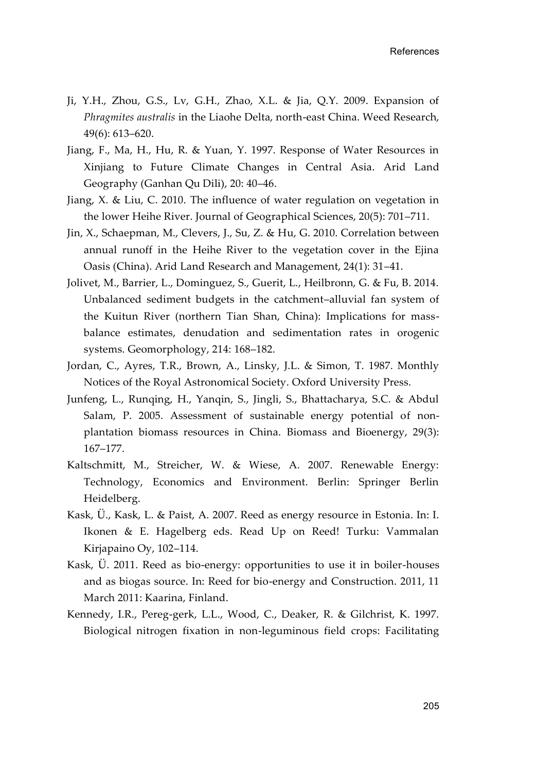- Ji, Y.H., Zhou, G.S., Lv, G.H., Zhao, X.L. & Jia, Q.Y. 2009. Expansion of *Phragmites australis* in the Liaohe Delta, north-east China. Weed Research, 49(6): 613–620.
- Jiang, F., Ma, H., Hu, R. & Yuan, Y. 1997. Response of Water Resources in Xinjiang to Future Climate Changes in Central Asia. Arid Land Geography (Ganhan Qu Dili), 20: 40–46.
- Jiang, X. & Liu, C. 2010. The influence of water regulation on vegetation in the lower Heihe River. Journal of Geographical Sciences, 20(5): 701–711.
- Jin, X., Schaepman, M., Clevers, J., Su, Z. & Hu, G. 2010. Correlation between annual runoff in the Heihe River to the vegetation cover in the Ejina Oasis (China). Arid Land Research and Management, 24(1): 31–41.
- Jolivet, M., Barrier, L., Dominguez, S., Guerit, L., Heilbronn, G. & Fu, B. 2014. Unbalanced sediment budgets in the catchment–alluvial fan system of the Kuitun River (northern Tian Shan, China): Implications for massbalance estimates, denudation and sedimentation rates in orogenic systems. Geomorphology, 214: 168–182.
- Jordan, C., Ayres, T.R., Brown, A., Linsky, J.L. & Simon, T. 1987. Monthly Notices of the Royal Astronomical Society. Oxford University Press.
- Junfeng, L., Runqing, H., Yanqin, S., Jingli, S., Bhattacharya, S.C. & Abdul Salam, P. 2005. Assessment of sustainable energy potential of nonplantation biomass resources in China. Biomass and Bioenergy, 29(3): 167–177.
- Kaltschmitt, M., Streicher, W. & Wiese, A. 2007. Renewable Energy: Technology, Economics and Environment. Berlin: Springer Berlin Heidelberg.
- Kask, Ü., Kask, L. & Paist, A. 2007. Reed as energy resource in Estonia. In: I. Ikonen & E. Hagelberg eds. Read Up on Reed! Turku: Vammalan Kirjapaino Oy, 102–114.
- Kask, Ü. 2011. Reed as bio-energy: opportunities to use it in boiler-houses and as biogas source. In: Reed for bio-energy and Construction. 2011, 11 March 2011: Kaarina, Finland.
- Kennedy, I.R., Pereg-gerk, L.L., Wood, C., Deaker, R. & Gilchrist, K. 1997. Biological nitrogen fixation in non-leguminous field crops: Facilitating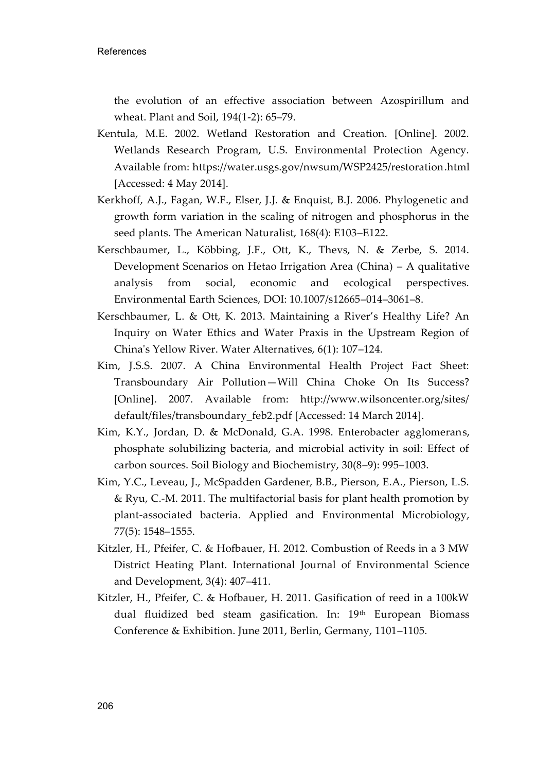the evolution of an effective association between Azospirillum and wheat. Plant and Soil, 194(1-2): 65–79.

- Kentula, M.E. 2002. Wetland Restoration and Creation. [Online]. 2002. Wetlands Research Program, U.S. Environmental Protection Agency. Available from: https://water.usgs.gov/nwsum/WSP2425/restoration.html [Accessed: 4 May 2014].
- Kerkhoff, A.J., Fagan, W.F., Elser, J.J. & Enquist, B.J. 2006. Phylogenetic and growth form variation in the scaling of nitrogen and phosphorus in the seed plants. The American Naturalist, 168(4): E103–E122.
- Kerschbaumer, L., Köbbing, J.F., Ott, K., Thevs, N. & Zerbe, S. 2014. Development Scenarios on Hetao Irrigation Area (China) – A qualitative analysis from social, economic and ecological perspectives. Environmental Earth Sciences, DOI: 10.1007/s12665–014–3061–8.
- Kerschbaumer, L. & Ott, K. 2013. Maintaining a River's Healthy Life? An Inquiry on Water Ethics and Water Praxis in the Upstream Region of China's Yellow River. Water Alternatives, 6(1): 107–124.
- Kim, J.S.S. 2007. A China Environmental Health Project Fact Sheet: Transboundary Air Pollution—Will China Choke On Its Success? [Online]. 2007. Available from: http://www.wilsoncenter.org/sites/ default/files/transboundary\_feb2.pdf [Accessed: 14 March 2014].
- Kim, K.Y., Jordan, D. & McDonald, G.A. 1998. Enterobacter agglomerans, phosphate solubilizing bacteria, and microbial activity in soil: Effect of carbon sources. Soil Biology and Biochemistry, 30(8–9): 995–1003.
- Kim, Y.C., Leveau, J., McSpadden Gardener, B.B., Pierson, E.A., Pierson, L.S. & Ryu, C.-M. 2011. The multifactorial basis for plant health promotion by plant-associated bacteria. Applied and Environmental Microbiology, 77(5): 1548–1555.
- Kitzler, H., Pfeifer, C. & Hofbauer, H. 2012. Combustion of Reeds in a 3 MW District Heating Plant. International Journal of Environmental Science and Development, 3(4): 407–411.
- Kitzler, H., Pfeifer, C. & Hofbauer, H. 2011. Gasification of reed in a 100kW dual fluidized bed steam gasification. In:  $19<sup>th</sup>$  European Biomass Conference & Exhibition. June 2011, Berlin, Germany, 1101–1105.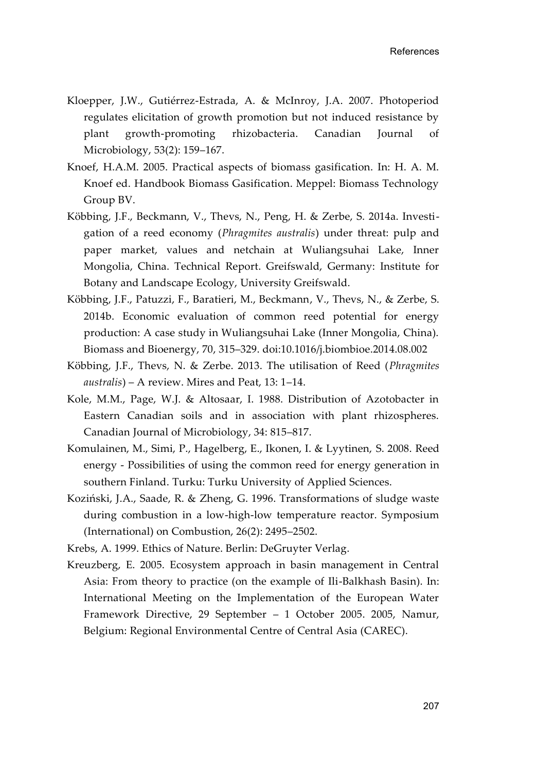- Kloepper, J.W., Gutiérrez-Estrada, A. & McInroy, J.A. 2007. Photoperiod regulates elicitation of growth promotion but not induced resistance by plant growth-promoting rhizobacteria. Canadian Journal of Microbiology, 53(2): 159–167.
- Knoef, H.A.M. 2005. Practical aspects of biomass gasification. In: H. A. M. Knoef ed. Handbook Biomass Gasification. Meppel: Biomass Technology Group BV.
- Köbbing, J.F., Beckmann, V., Thevs, N., Peng, H. & Zerbe, S. 2014a. Investigation of a reed economy (*Phragmites australis*) under threat: pulp and paper market, values and netchain at Wuliangsuhai Lake, Inner Mongolia, China. Technical Report. Greifswald, Germany: Institute for Botany and Landscape Ecology, University Greifswald.
- Köbbing, J.F., Patuzzi, F., Baratieri, M., Beckmann, V., Thevs, N., & Zerbe, S. 2014b. Economic evaluation of common reed potential for energy production: A case study in Wuliangsuhai Lake (Inner Mongolia, China). Biomass and Bioenergy, 70, 315–329. [doi:10.1016/j.biombioe.2014.08.002](http://dx.doi.org/10.1016/j.biombioe.2014.08.002)
- Köbbing, J.F., Thevs, N. & Zerbe. 2013. The utilisation of Reed (*Phragmites australis*) – A review. Mires and Peat, 13: 1–14.
- Kole, M.M., Page, W.J. & Altosaar, I. 1988. Distribution of Azotobacter in Eastern Canadian soils and in association with plant rhizospheres. Canadian Journal of Microbiology, 34: 815–817.
- Komulainen, M., Simi, P., Hagelberg, E., Ikonen, I. & Lyytinen, S. 2008. Reed energy - Possibilities of using the common reed for energy generation in southern Finland. Turku: Turku University of Applied Sciences.
- Koziński, J.A., Saade, R. & Zheng, G. 1996. Transformations of sludge waste during combustion in a low-high-low temperature reactor. Symposium (International) on Combustion, 26(2): 2495–2502.

Krebs, A. 1999. Ethics of Nature. Berlin: DeGruyter Verlag.

Kreuzberg, E. 2005. Ecosystem approach in basin management in Central Asia: From theory to practice (on the example of Ili-Balkhash Basin). In: International Meeting on the Implementation of the European Water Framework Directive, 29 September – 1 October 2005. 2005, Namur, Belgium: Regional Environmental Centre of Central Asia (CAREC).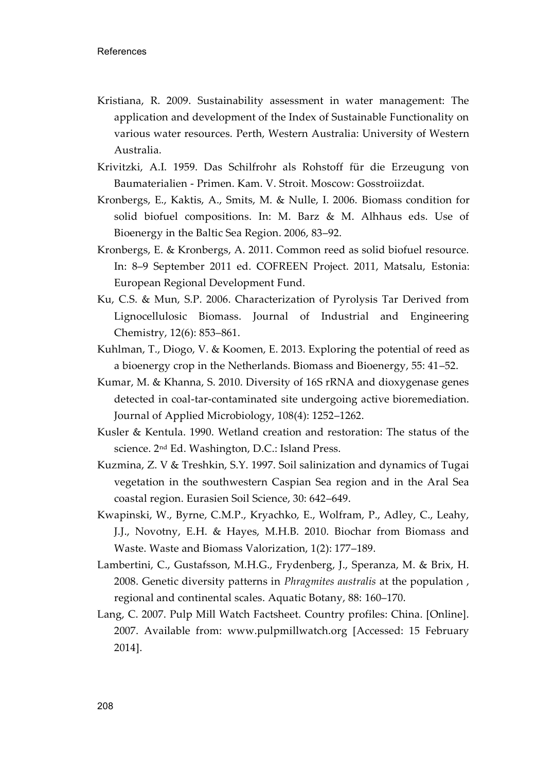- Kristiana, R. 2009. Sustainability assessment in water management: The application and development of the Index of Sustainable Functionality on various water resources. Perth, Western Australia: University of Western Australia.
- Krivitzki, A.I. 1959. Das Schilfrohr als Rohstoff für die Erzeugung von Baumaterialien - Primen. Kam. V. Stroit. Moscow: Gosstroiizdat.
- Kronbergs, E., Kaktis, A., Smits, M. & Nulle, I. 2006. Biomass condition for solid biofuel compositions. In: M. Barz & M. Alhhaus eds. Use of Bioenergy in the Baltic Sea Region. 2006, 83–92.
- Kronbergs, E. & Kronbergs, A. 2011. Common reed as solid biofuel resource. In: 8–9 September 2011 ed. COFREEN Project. 2011, Matsalu, Estonia: European Regional Development Fund.
- Ku, C.S. & Mun, S.P. 2006. Characterization of Pyrolysis Tar Derived from Lignocellulosic Biomass. Journal of Industrial and Engineering Chemistry, 12(6): 853–861.
- Kuhlman, T., Diogo, V. & Koomen, E. 2013. Exploring the potential of reed as a bioenergy crop in the Netherlands. Biomass and Bioenergy, 55: 41–52.
- Kumar, M. & Khanna, S. 2010. Diversity of 16S rRNA and dioxygenase genes detected in coal-tar-contaminated site undergoing active bioremediation. Journal of Applied Microbiology, 108(4): 1252–1262.
- Kusler & Kentula. 1990. Wetland creation and restoration: The status of the science. 2nd Ed. Washington, D.C.: Island Press.
- Kuzmina, Z. V & Treshkin, S.Y. 1997. Soil salinization and dynamics of Tugai vegetation in the southwestern Caspian Sea region and in the Aral Sea coastal region. Eurasien Soil Science, 30: 642–649.
- Kwapinski, W., Byrne, C.M.P., Kryachko, E., Wolfram, P., Adley, C., Leahy, J.J., Novotny, E.H. & Hayes, M.H.B. 2010. Biochar from Biomass and Waste. Waste and Biomass Valorization, 1(2): 177–189.
- Lambertini, C., Gustafsson, M.H.G., Frydenberg, J., Speranza, M. & Brix, H. 2008. Genetic diversity patterns in *Phragmites australis* at the population , regional and continental scales. Aquatic Botany, 88: 160–170.
- Lang, C. 2007. Pulp Mill Watch Factsheet. Country profiles: China. [Online]. 2007. Available from: www.pulpmillwatch.org [Accessed: 15 February 2014].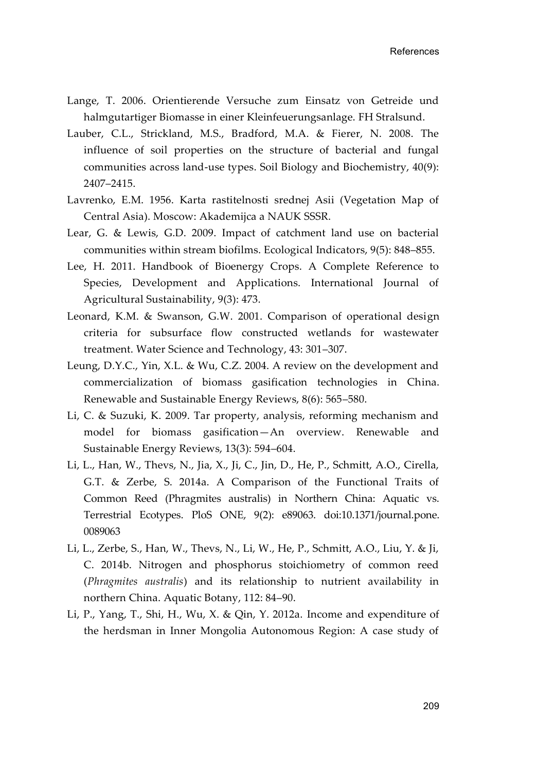- Lange, T. 2006. Orientierende Versuche zum Einsatz von Getreide und halmgutartiger Biomasse in einer Kleinfeuerungsanlage. FH Stralsund.
- Lauber, C.L., Strickland, M.S., Bradford, M.A. & Fierer, N. 2008. The influence of soil properties on the structure of bacterial and fungal communities across land-use types. Soil Biology and Biochemistry, 40(9): 2407–2415.
- Lavrenko, E.M. 1956. Karta rastitelnosti srednej Asii (Vegetation Map of Central Asia). Moscow: Akademijca a NAUK SSSR.
- Lear, G. & Lewis, G.D. 2009. Impact of catchment land use on bacterial communities within stream biofilms. Ecological Indicators, 9(5): 848–855.
- Lee, H. 2011. Handbook of Bioenergy Crops. A Complete Reference to Species, Development and Applications. International Journal of Agricultural Sustainability, 9(3): 473.
- Leonard, K.M. & Swanson, G.W. 2001. Comparison of operational design criteria for subsurface flow constructed wetlands for wastewater treatment. Water Science and Technology, 43: 301–307.
- Leung, D.Y.C., Yin, X.L. & Wu, C.Z. 2004. A review on the development and commercialization of biomass gasification technologies in China. Renewable and Sustainable Energy Reviews, 8(6): 565–580.
- Li, C. & Suzuki, K. 2009. Tar property, analysis, reforming mechanism and model for biomass gasification—An overview. Renewable and Sustainable Energy Reviews, 13(3): 594–604.
- Li, L., Han, W., Thevs, N., Jia, X., Ji, C., Jin, D., He, P., Schmitt, A.O., Cirella, G.T. & Zerbe, S. 2014a. A Comparison of the Functional Traits of Common Reed (Phragmites australis) in Northern China: Aquatic vs. Terrestrial Ecotypes. PloS ONE, 9(2): e89063. doi:10.1371/journal.pone. 0089063
- Li, L., Zerbe, S., Han, W., Thevs, N., Li, W., He, P., Schmitt, A.O., Liu, Y. & Ji, C. 2014b. Nitrogen and phosphorus stoichiometry of common reed (*Phragmites australis*) and its relationship to nutrient availability in northern China. Aquatic Botany, 112: 84–90.
- Li, P., Yang, T., Shi, H., Wu, X. & Qin, Y. 2012a. Income and expenditure of the herdsman in Inner Mongolia Autonomous Region: A case study of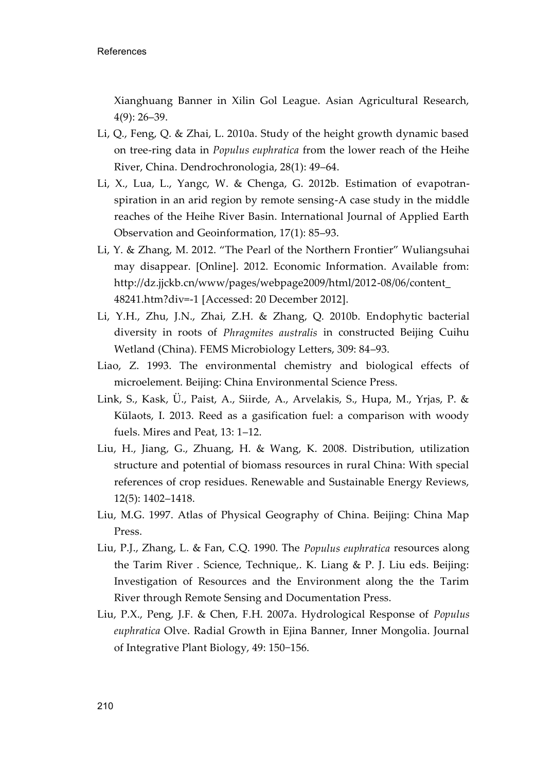Xianghuang Banner in Xilin Gol League. Asian Agricultural Research, 4(9): 26–39.

- Li, Q., Feng, Q. & Zhai, L. 2010a. Study of the height growth dynamic based on tree-ring data in *Populus euphratica* from the lower reach of the Heihe River, China. Dendrochronologia, 28(1): 49–64.
- Li, X., Lua, L., Yangc, W. & Chenga, G. 2012b. Estimation of evapotranspiration in an arid region by remote sensing-A case study in the middle reaches of the Heihe River Basin. International Journal of Applied Earth Observation and Geoinformation, 17(1): 85–93.
- Li, Y. & Zhang, M. 2012. "The Pearl of the Northern Frontier" Wuliangsuhai may disappear. [Online]. 2012. Economic Information. Available from: http://dz.jjckb.cn/www/pages/webpage2009/html/2012-08/06/content\_ 48241.htm?div=-1 [Accessed: 20 December 2012].
- Li, Y.H., Zhu, J.N., Zhai, Z.H. & Zhang, Q. 2010b. Endophytic bacterial diversity in roots of *Phragmites australis* in constructed Beijing Cuihu Wetland (China). FEMS Microbiology Letters, 309: 84–93.
- Liao, Z. 1993. The environmental chemistry and biological effects of microelement. Beijing: China Environmental Science Press.
- Link, S., Kask, Ü., Paist, A., Siirde, A., Arvelakis, S., Hupa, M., Yrjas, P. & Külaots, I. 2013. Reed as a gasification fuel: a comparison with woody fuels. Mires and Peat, 13: 1–12.
- Liu, H., Jiang, G., Zhuang, H. & Wang, K. 2008. Distribution, utilization structure and potential of biomass resources in rural China: With special references of crop residues. Renewable and Sustainable Energy Reviews, 12(5): 1402–1418.
- Liu, M.G. 1997. Atlas of Physical Geography of China. Beijing: China Map Press.
- Liu, P.J., Zhang, L. & Fan, C.Q. 1990. The *Populus euphratica* resources along the Tarim River . Science, Technique,. K. Liang & P. J. Liu eds. Beijing: Investigation of Resources and the Environment along the the Tarim River through Remote Sensing and Documentation Press.
- Liu, P.X., Peng, J.F. & Chen, F.H. 2007a. Hydrological Response of *Populus euphratica* Olve. Radial Growth in Ejina Banner, Inner Mongolia. Journal of Integrative Plant Biology, 49: 150−156.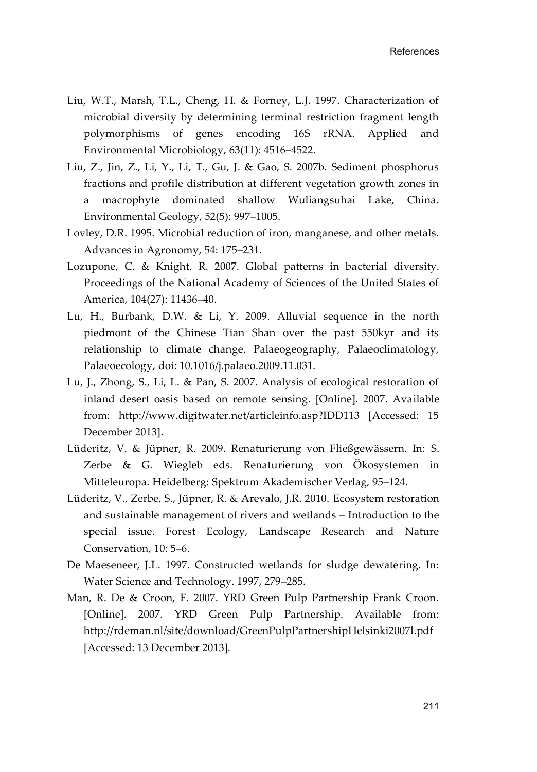- Liu, W.T., Marsh, T.L., Cheng, H. & Forney, L.J. 1997. Characterization of microbial diversity by determining terminal restriction fragment length polymorphisms of genes encoding 16S rRNA. Applied and Environmental Microbiology, 63(11): 4516–4522.
- Liu, Z., Jin, Z., Li, Y., Li, T., Gu, J. & Gao, S. 2007b. Sediment phosphorus fractions and profile distribution at different vegetation growth zones in a macrophyte dominated shallow Wuliangsuhai Lake, China. Environmental Geology, 52(5): 997–1005.
- Lovley, D.R. 1995. Microbial reduction of iron, manganese, and other metals. Advances in Agronomy, 54: 175–231.
- Lozupone, C. & Knight, R. 2007. Global patterns in bacterial diversity. Proceedings of the National Academy of Sciences of the United States of America, 104(27): 11436–40.
- Lu, H., Burbank, D.W. & Li, Y. 2009. Alluvial sequence in the north piedmont of the Chinese Tian Shan over the past 550kyr and its relationship to climate change. Palaeogeography, Palaeoclimatology, Palaeoecology, doi: 10.1016/j.palaeo.2009.11.031.
- Lu, J., Zhong, S., Li, L. & Pan, S. 2007. Analysis of ecological restoration of inland desert oasis based on remote sensing. [Online]. 2007. Available from: http://www.digitwater.net/articleinfo.asp?IDD113 [Accessed: 15 December 2013].
- Lüderitz, V. & Jüpner, R. 2009. Renaturierung von Fließgewässern. In: S. Zerbe & G. Wiegleb eds. Renaturierung von Ökosystemen in Mitteleuropa. Heidelberg: Spektrum Akademischer Verlag, 95–124.
- Lüderitz, V., Zerbe, S., Jüpner, R. & Arevalo, J.R. 2010. Ecosystem restoration and sustainable management of rivers and wetlands – Introduction to the special issue. Forest Ecology, Landscape Research and Nature Conservation, 10: 5–6.
- De Maeseneer, J.L. 1997. Constructed wetlands for sludge dewatering. In: Water Science and Technology. 1997, 279–285.
- Man, R. De & Croon, F. 2007. YRD Green Pulp Partnership Frank Croon. [Online]. 2007. YRD Green Pulp Partnership. Available from: http://rdeman.nl/site/download/GreenPulpPartnershipHelsinki2007l.pdf [Accessed: 13 December 2013].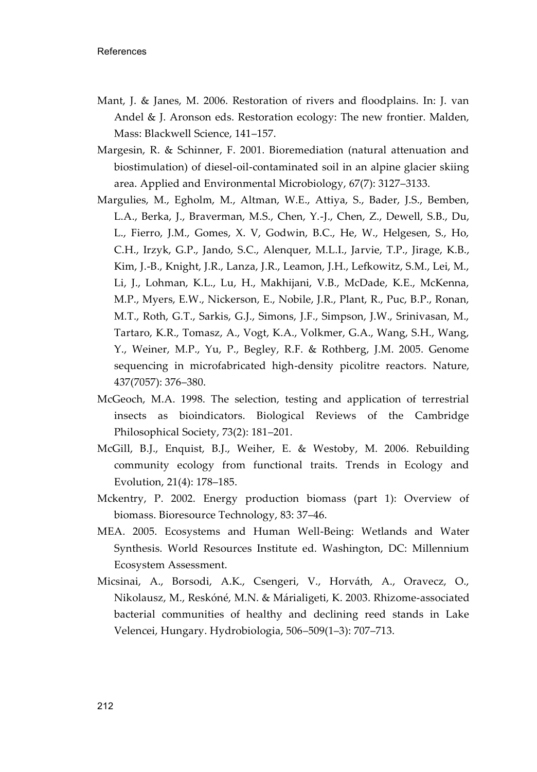- Mant, J. & Janes, M. 2006. Restoration of rivers and floodplains. In: J. van Andel & J. Aronson eds. Restoration ecology: The new frontier. Malden, Mass: Blackwell Science, 141–157.
- Margesin, R. & Schinner, F. 2001. Bioremediation (natural attenuation and biostimulation) of diesel-oil-contaminated soil in an alpine glacier skiing area. Applied and Environmental Microbiology, 67(7): 3127–3133.
- Margulies, M., Egholm, M., Altman, W.E., Attiya, S., Bader, J.S., Bemben, L.A., Berka, J., Braverman, M.S., Chen, Y.-J., Chen, Z., Dewell, S.B., Du, L., Fierro, J.M., Gomes, X. V, Godwin, B.C., He, W., Helgesen, S., Ho, C.H., Irzyk, G.P., Jando, S.C., Alenquer, M.L.I., Jarvie, T.P., Jirage, K.B., Kim, J.-B., Knight, J.R., Lanza, J.R., Leamon, J.H., Lefkowitz, S.M., Lei, M., Li, J., Lohman, K.L., Lu, H., Makhijani, V.B., McDade, K.E., McKenna, M.P., Myers, E.W., Nickerson, E., Nobile, J.R., Plant, R., Puc, B.P., Ronan, M.T., Roth, G.T., Sarkis, G.J., Simons, J.F., Simpson, J.W., Srinivasan, M., Tartaro, K.R., Tomasz, A., Vogt, K.A., Volkmer, G.A., Wang, S.H., Wang, Y., Weiner, M.P., Yu, P., Begley, R.F. & Rothberg, J.M. 2005. Genome sequencing in microfabricated high-density picolitre reactors. Nature, 437(7057): 376–380.
- McGeoch, M.A. 1998. The selection, testing and application of terrestrial insects as bioindicators. Biological Reviews of the Cambridge Philosophical Society, 73(2): 181–201.
- McGill, B.J., Enquist, B.J., Weiher, E. & Westoby, M. 2006. Rebuilding community ecology from functional traits. Trends in Ecology and Evolution, 21(4): 178–185.
- Mckentry, P. 2002. Energy production biomass (part 1): Overview of biomass. Bioresource Technology, 83: 37–46.
- MEA. 2005. Ecosystems and Human Well-Being: Wetlands and Water Synthesis. World Resources Institute ed. Washington, DC: Millennium Ecosystem Assessment.
- Micsinai, A., Borsodi, A.K., Csengeri, V., Horváth, A., Oravecz, O., Nikolausz, M., Reskóné, M.N. & Márialigeti, K. 2003. Rhizome-associated bacterial communities of healthy and declining reed stands in Lake Velencei, Hungary. Hydrobiologia, 506–509(1–3): 707–713.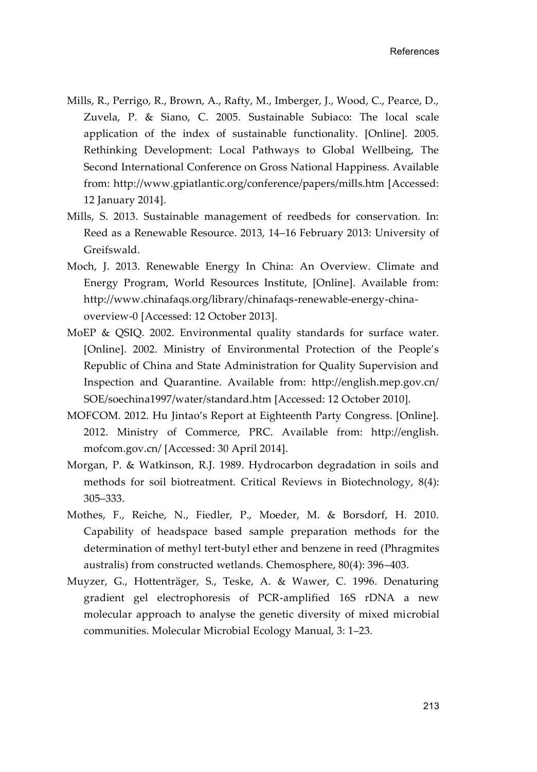- Mills, R., Perrigo, R., Brown, A., Rafty, M., Imberger, J., Wood, C., Pearce, D., Zuvela, P. & Siano, C. 2005. Sustainable Subiaco: The local scale application of the index of sustainable functionality. [Online]. 2005. Rethinking Development: Local Pathways to Global Wellbeing, The Second International Conference on Gross National Happiness. Available from: http://www.gpiatlantic.org/conference/papers/mills.htm [Accessed: 12 January 2014].
- Mills, S. 2013. Sustainable management of reedbeds for conservation. In: Reed as a Renewable Resource. 2013, 14–16 February 2013: University of Greifswald.
- Moch, J. 2013. Renewable Energy In China: An Overview. Climate and Energy Program, World Resources Institute, [Online]. Available from: http://www.chinafaqs.org/library/chinafaqs-renewable-energy-chinaoverview-0 [Accessed: 12 October 2013].
- MoEP & QSIQ. 2002. Environmental quality standards for surface water. [Online]. 2002. Ministry of Environmental Protection of the People's Republic of China and State Administration for Quality Supervision and Inspection and Quarantine. Available from: http://english.mep.gov.cn/ SOE/soechina1997/water/standard.htm [Accessed: 12 October 2010].
- MOFCOM. 2012. Hu Jintao's Report at Eighteenth Party Congress. [Online]. 2012. Ministry of Commerce, PRC. Available from: http://english. mofcom.gov.cn/ [Accessed: 30 April 2014].
- Morgan, P. & Watkinson, R.J. 1989. Hydrocarbon degradation in soils and methods for soil biotreatment. Critical Reviews in Biotechnology, 8(4): 305–333.
- Mothes, F., Reiche, N., Fiedler, P., Moeder, M. & Borsdorf, H. 2010. Capability of headspace based sample preparation methods for the determination of methyl tert-butyl ether and benzene in reed (Phragmites australis) from constructed wetlands. Chemosphere, 80(4): 396–403.
- Muyzer, G., Hottenträger, S., Teske, A. & Wawer, C. 1996. Denaturing gradient gel electrophoresis of PCR-amplified 16S rDNA a new molecular approach to analyse the genetic diversity of mixed microbial communities. Molecular Microbial Ecology Manual, 3: 1–23.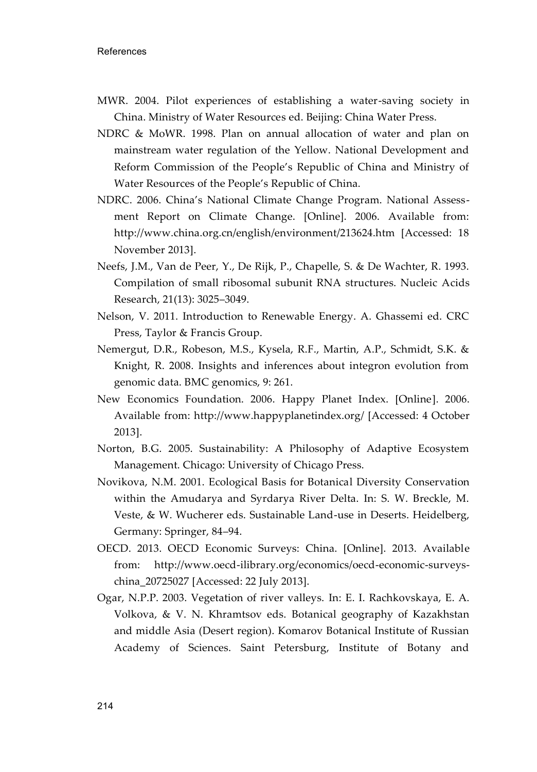- MWR. 2004. Pilot experiences of establishing a water-saving society in China. Ministry of Water Resources ed. Beijing: China Water Press.
- NDRC & MoWR. 1998. Plan on annual allocation of water and plan on mainstream water regulation of the Yellow. National Development and Reform Commission of the People's Republic of China and Ministry of Water Resources of the People's Republic of China.
- NDRC. 2006. China's National Climate Change Program. National Assessment Report on Climate Change. [Online]. 2006. Available from: http://www.china.org.cn/english/environment/213624.htm [Accessed: 18 November 2013].
- Neefs, J.M., Van de Peer, Y., De Rijk, P., Chapelle, S. & De Wachter, R. 1993. Compilation of small ribosomal subunit RNA structures. Nucleic Acids Research, 21(13): 3025–3049.
- Nelson, V. 2011. Introduction to Renewable Energy. A. Ghassemi ed. CRC Press, Taylor & Francis Group.
- Nemergut, D.R., Robeson, M.S., Kysela, R.F., Martin, A.P., Schmidt, S.K. & Knight, R. 2008. Insights and inferences about integron evolution from genomic data. BMC genomics, 9: 261.
- New Economics Foundation. 2006. Happy Planet Index. [Online]. 2006. Available from: http://www.happyplanetindex.org/ [Accessed: 4 October 2013].
- Norton, B.G. 2005. Sustainability: A Philosophy of Adaptive Ecosystem Management. Chicago: University of Chicago Press.
- Novikova, N.M. 2001. Ecological Basis for Botanical Diversity Conservation within the Amudarya and Syrdarya River Delta. In: S. W. Breckle, M. Veste, & W. Wucherer eds. Sustainable Land-use in Deserts. Heidelberg, Germany: Springer, 84–94.
- OECD. 2013. OECD Economic Surveys: China. [Online]. 2013. Available from: http://www.oecd-ilibrary.org/economics/oecd-economic-surveyschina\_20725027 [Accessed: 22 July 2013].
- Ogar, N.P.P. 2003. Vegetation of river valleys. In: E. I. Rachkovskaya, E. A. Volkova, & V. N. Khramtsov eds. Botanical geography of Kazakhstan and middle Asia (Desert region). Komarov Botanical Institute of Russian Academy of Sciences. Saint Petersburg, Institute of Botany and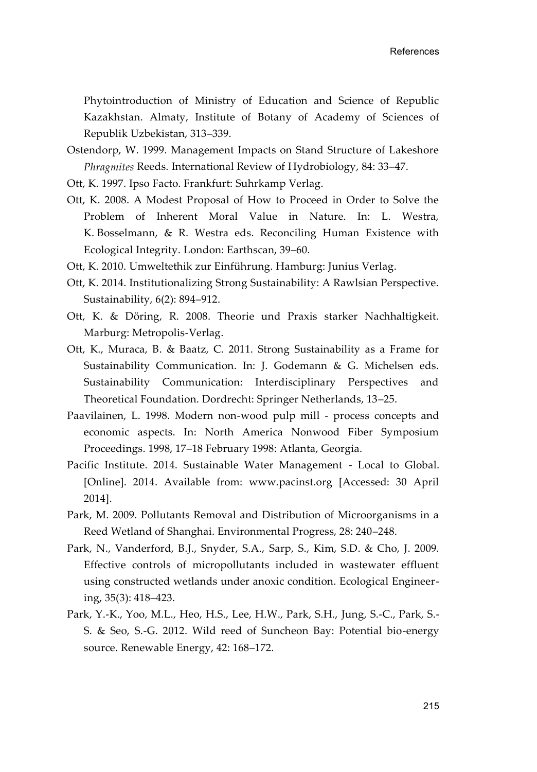Phytointroduction of Ministry of Education and Science of Republic Kazakhstan. Almaty, Institute of Botany of Academy of Sciences of Republik Uzbekistan, 313–339.

- Ostendorp, W. 1999. Management Impacts on Stand Structure of Lakeshore *Phragmites* Reeds. International Review of Hydrobiology, 84: 33–47.
- Ott, K. 1997. Ipso Facto. Frankfurt: Suhrkamp Verlag.
- Ott, K. 2008. A Modest Proposal of How to Proceed in Order to Solve the Problem of Inherent Moral Value in Nature. In: L. Westra, K. Bosselmann, & R. Westra eds. Reconciling Human Existence with Ecological Integrity. London: Earthscan, 39–60.
- Ott, K. 2010. Umweltethik zur Einführung. Hamburg: Junius Verlag.
- Ott, K. 2014. Institutionalizing Strong Sustainability: A Rawlsian Perspective. Sustainability, 6(2): 894–912.
- Ott, K. & Döring, R. 2008. Theorie und Praxis starker Nachhaltigkeit. Marburg: Metropolis-Verlag.
- Ott, K., Muraca, B. & Baatz, C. 2011. Strong Sustainability as a Frame for Sustainability Communication. In: J. Godemann & G. Michelsen eds. Sustainability Communication: Interdisciplinary Perspectives and Theoretical Foundation. Dordrecht: Springer Netherlands, 13–25.
- Paavilainen, L. 1998. Modern non-wood pulp mill process concepts and economic aspects. In: North America Nonwood Fiber Symposium Proceedings. 1998, 17–18 February 1998: Atlanta, Georgia.
- Pacific Institute. 2014. Sustainable Water Management Local to Global. [Online]. 2014. Available from: www.pacinst.org [Accessed: 30 April 2014].
- Park, M. 2009. Pollutants Removal and Distribution of Microorganisms in a Reed Wetland of Shanghai. Environmental Progress, 28: 240–248.
- Park, N., Vanderford, B.J., Snyder, S.A., Sarp, S., Kim, S.D. & Cho, J. 2009. Effective controls of micropollutants included in wastewater effluent using constructed wetlands under anoxic condition. Ecological Engineering, 35(3): 418–423.
- Park, Y.-K., Yoo, M.L., Heo, H.S., Lee, H.W., Park, S.H., Jung, S.-C., Park, S.- S. & Seo, S.-G. 2012. Wild reed of Suncheon Bay: Potential bio-energy source. Renewable Energy, 42: 168–172.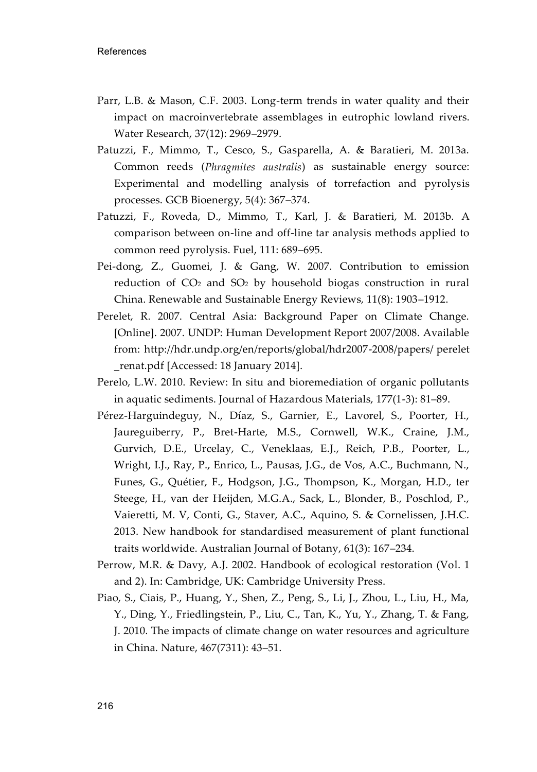- Parr, L.B. & Mason, C.F. 2003. Long-term trends in water quality and their impact on macroinvertebrate assemblages in eutrophic lowland rivers. Water Research, 37(12): 2969–2979.
- Patuzzi, F., Mimmo, T., Cesco, S., Gasparella, A. & Baratieri, M. 2013a. Common reeds (*Phragmites australis*) as sustainable energy source: Experimental and modelling analysis of torrefaction and pyrolysis processes. GCB Bioenergy, 5(4): 367–374.
- Patuzzi, F., Roveda, D., Mimmo, T., Karl, J. & Baratieri, M. 2013b. A comparison between on-line and off-line tar analysis methods applied to common reed pyrolysis. Fuel, 111: 689–695.
- Pei-dong, Z., Guomei, J. & Gang, W. 2007. Contribution to emission reduction of  $CO<sub>2</sub>$  and  $SO<sub>2</sub>$  by household biogas construction in rural China. Renewable and Sustainable Energy Reviews, 11(8): 1903–1912.
- Perelet, R. 2007. Central Asia: Background Paper on Climate Change. [Online]. 2007. UNDP: Human Development Report 2007/2008. Available from: http://hdr.undp.org/en/reports/global/hdr2007-2008/papers/ perelet \_renat.pdf [Accessed: 18 January 2014].
- Perelo, L.W. 2010. Review: In situ and bioremediation of organic pollutants in aquatic sediments. Journal of Hazardous Materials, 177(1-3): 81–89.
- Pérez-Harguindeguy, N., Díaz, S., Garnier, E., Lavorel, S., Poorter, H., Jaureguiberry, P., Bret-Harte, M.S., Cornwell, W.K., Craine, J.M., Gurvich, D.E., Urcelay, C., Veneklaas, E.J., Reich, P.B., Poorter, L., Wright, I.J., Ray, P., Enrico, L., Pausas, J.G., de Vos, A.C., Buchmann, N., Funes, G., Quétier, F., Hodgson, J.G., Thompson, K., Morgan, H.D., ter Steege, H., van der Heijden, M.G.A., Sack, L., Blonder, B., Poschlod, P., Vaieretti, M. V, Conti, G., Staver, A.C., Aquino, S. & Cornelissen, J.H.C. 2013. New handbook for standardised measurement of plant functional traits worldwide. Australian Journal of Botany, 61(3): 167–234.
- Perrow, M.R. & Davy, A.J. 2002. Handbook of ecological restoration (Vol. 1 and 2). In: Cambridge, UK: Cambridge University Press.
- Piao, S., Ciais, P., Huang, Y., Shen, Z., Peng, S., Li, J., Zhou, L., Liu, H., Ma, Y., Ding, Y., Friedlingstein, P., Liu, C., Tan, K., Yu, Y., Zhang, T. & Fang, J. 2010. The impacts of climate change on water resources and agriculture in China. Nature, 467(7311): 43–51.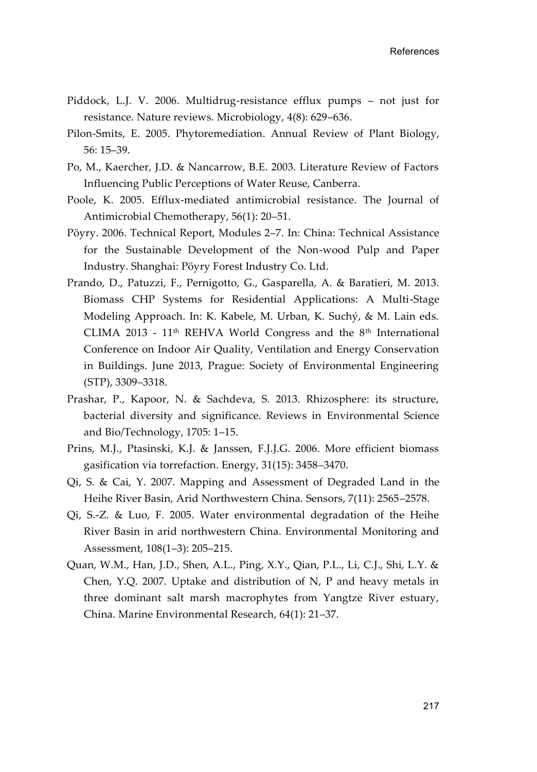- Piddock, L.J. V. 2006. Multidrug-resistance efflux pumps not just for resistance. Nature reviews. Microbiology, 4(8): 629–636.
- Pilon-Smits, E. 2005. Phytoremediation. Annual Review of Plant Biology, 56: 15–39.
- Po, M., Kaercher, J.D. & Nancarrow, B.E. 2003. Literature Review of Factors Influencing Public Perceptions of Water Reuse, Canberra.
- Poole, K. 2005. Efflux-mediated antimicrobial resistance. The Journal of Antimicrobial Chemotherapy, 56(1): 20–51.
- Pöyry. 2006. Technical Report, Modules 2–7. In: China: Technical Assistance for the Sustainable Development of the Non-wood Pulp and Paper Industry. Shanghai: Pöyry Forest Industry Co. Ltd.
- Prando, D., Patuzzi, F., Pernigotto, G., Gasparella, A. & Baratieri, M. 2013. Biomass CHP Systems for Residential Applications: A Multi-Stage Modeling Approach. In: K. Kabele, M. Urban, K. Suchý, & M. Lain eds. CLIMA 2013 - 11<sup>th</sup> REHVA World Congress and the 8<sup>th</sup> International Conference on Indoor Air Quality, Ventilation and Energy Conservation in Buildings. June 2013, Prague: Society of Environmental Engineering (STP), 3309–3318.
- Prashar, P., Kapoor, N. & Sachdeva, S. 2013. Rhizosphere: its structure, bacterial diversity and significance. Reviews in Environmental Science and Bio/Technology, 1705: 1–15.
- Prins, M.J., Ptasinski, K.J. & Janssen, F.J.J.G. 2006. More efficient biomass gasification via torrefaction. Energy, 31(15): 3458–3470.
- Qi, S. & Cai, Y. 2007. Mapping and Assessment of Degraded Land in the Heihe River Basin, Arid Northwestern China. Sensors, 7(11): 2565–2578.
- Qi, S.-Z. & Luo, F. 2005. Water environmental degradation of the Heihe River Basin in arid northwestern China. Environmental Monitoring and Assessment, 108(1–3): 205–215.
- Quan, W.M., Han, J.D., Shen, A.L., Ping, X.Y., Qian, P.L., Li, C.J., Shi, L.Y. & Chen, Y.Q. 2007. Uptake and distribution of N, P and heavy metals in three dominant salt marsh macrophytes from Yangtze River estuary, China. Marine Environmental Research, 64(1): 21–37.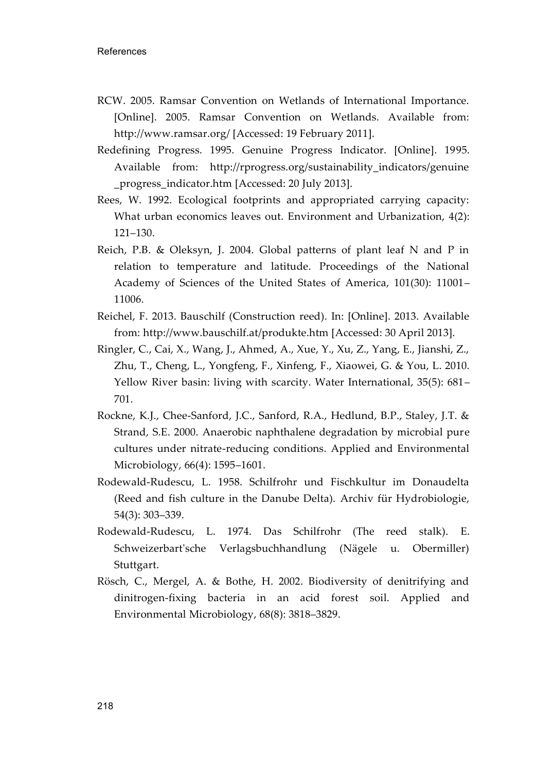- RCW. 2005. Ramsar Convention on Wetlands of International Importance. [Online]. 2005. Ramsar Convention on Wetlands. Available from: http://www.ramsar.org/ [Accessed: 19 February 2011].
- Redefining Progress. 1995. Genuine Progress Indicator. [Online]. 1995. Available from: http://rprogress.org/sustainability\_indicators/genuine \_progress\_indicator.htm [Accessed: 20 July 2013].
- Rees, W. 1992. Ecological footprints and appropriated carrying capacity: What urban economics leaves out. Environment and Urbanization, 4(2): 121–130.
- Reich, P.B. & Oleksyn, J. 2004. Global patterns of plant leaf N and P in relation to temperature and latitude. Proceedings of the National Academy of Sciences of the United States of America, 101(30): 11001– 11006.
- Reichel, F. 2013. Bauschilf (Construction reed). In: [Online]. 2013. Available from: http://www.bauschilf.at/produkte.htm [Accessed: 30 April 2013].
- Ringler, C., Cai, X., Wang, J., Ahmed, A., Xue, Y., Xu, Z., Yang, E., Jianshi, Z., Zhu, T., Cheng, L., Yongfeng, F., Xinfeng, F., Xiaowei, G. & You, L. 2010. Yellow River basin: living with scarcity. Water International, 35(5): 681– 701.
- Rockne, K.J., Chee-Sanford, J.C., Sanford, R.A., Hedlund, B.P., Staley, J.T. & Strand, S.E. 2000. Anaerobic naphthalene degradation by microbial pure cultures under nitrate-reducing conditions. Applied and Environmental Microbiology, 66(4): 1595–1601.
- Rodewald-Rudescu, L. 1958. Schilfrohr und Fischkultur im Donaudelta (Reed and fish culture in the Danube Delta). Archiv für Hydrobiologie, 54(3): 303–339.
- Rodewald-Rudescu, L. 1974. Das Schilfrohr (The reed stalk). E. Schweizerbart'sche Verlagsbuchhandlung (Nägele u. Obermiller) Stuttgart.
- Rösch, C., Mergel, A. & Bothe, H. 2002. Biodiversity of denitrifying and dinitrogen-fixing bacteria in an acid forest soil. Applied and Environmental Microbiology, 68(8): 3818–3829.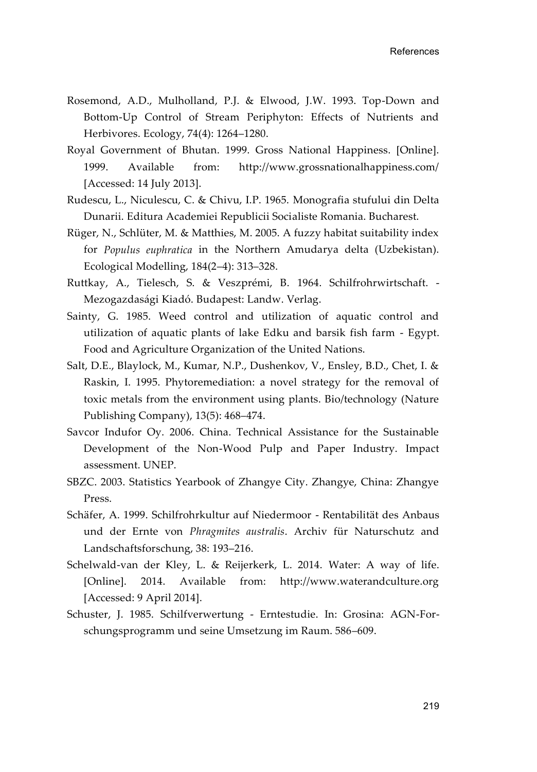- Rosemond, A.D., Mulholland, P.J. & Elwood, J.W. 1993. Top-Down and Bottom-Up Control of Stream Periphyton: Effects of Nutrients and Herbivores. Ecology, 74(4): 1264–1280.
- Royal Government of Bhutan. 1999. Gross National Happiness. [Online]. 1999. Available from: http://www.grossnationalhappiness.com/ [Accessed: 14 July 2013].
- Rudescu, L., Niculescu, C. & Chivu, I.P. 1965. Monografia stufului din Delta Dunarii. Editura Academiei Republicii Socialiste Romania. Bucharest.
- Rüger, N., Schlüter, M. & Matthies, M. 2005. A fuzzy habitat suitability index for *Populus euphratica* in the Northern Amudarya delta (Uzbekistan). Ecological Modelling, 184(2–4): 313–328.
- Ruttkay, A., Tielesch, S. & Veszprémi, B. 1964. Schilfrohrwirtschaft. Mezogazdasági Kiadó. Budapest: Landw. Verlag.
- Sainty, G. 1985. Weed control and utilization of aquatic control and utilization of aquatic plants of lake Edku and barsik fish farm - Egypt. Food and Agriculture Organization of the United Nations.
- Salt, D.E., Blaylock, M., Kumar, N.P., Dushenkov, V., Ensley, B.D., Chet, I. & Raskin, I. 1995. Phytoremediation: a novel strategy for the removal of toxic metals from the environment using plants. Bio/technology (Nature Publishing Company), 13(5): 468–474.
- Savcor Indufor Oy. 2006. China. Technical Assistance for the Sustainable Development of the Non-Wood Pulp and Paper Industry. Impact assessment. UNEP.
- SBZC. 2003. Statistics Yearbook of Zhangye City. Zhangye, China: Zhangye Press.
- Schäfer, A. 1999. Schilfrohrkultur auf Niedermoor Rentabilität des Anbaus und der Ernte von *Phragmites australis*. Archiv für Naturschutz and Landschaftsforschung, 38: 193–216.
- Schelwald-van der Kley, L. & Reijerkerk, L. 2014. Water: A way of life. [Online]. 2014. Available from: http://www.waterandculture.org [Accessed: 9 April 2014].
- Schuster, J. 1985. Schilfverwertung Erntestudie. In: Grosina: AGN-Forschungsprogramm und seine Umsetzung im Raum. 586–609.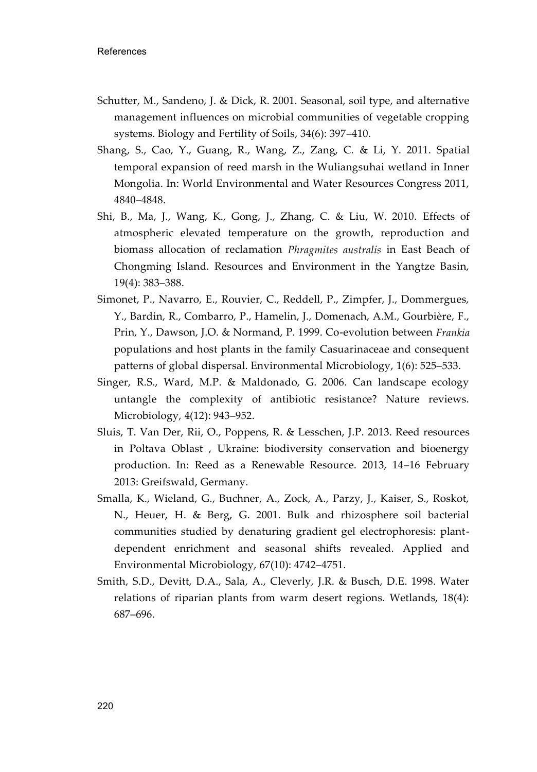- Schutter, M., Sandeno, J. & Dick, R. 2001. Seasonal, soil type, and alternative management influences on microbial communities of vegetable cropping systems. Biology and Fertility of Soils, 34(6): 397–410.
- Shang, S., Cao, Y., Guang, R., Wang, Z., Zang, C. & Li, Y. 2011. Spatial temporal expansion of reed marsh in the Wuliangsuhai wetland in Inner Mongolia. In: World Environmental and Water Resources Congress 2011, 4840–4848.
- Shi, B., Ma, J., Wang, K., Gong, J., Zhang, C. & Liu, W. 2010. Effects of atmospheric elevated temperature on the growth, reproduction and biomass allocation of reclamation *Phragmites australis* in East Beach of Chongming Island. Resources and Environment in the Yangtze Basin, 19(4): 383–388.
- Simonet, P., Navarro, E., Rouvier, C., Reddell, P., Zimpfer, J., Dommergues, Y., Bardin, R., Combarro, P., Hamelin, J., Domenach, A.M., Gourbière, F., Prin, Y., Dawson, J.O. & Normand, P. 1999. Co-evolution between *Frankia* populations and host plants in the family Casuarinaceae and consequent patterns of global dispersal. Environmental Microbiology, 1(6): 525–533.
- Singer, R.S., Ward, M.P. & Maldonado, G. 2006. Can landscape ecology untangle the complexity of antibiotic resistance? Nature reviews. Microbiology, 4(12): 943–952.
- Sluis, T. Van Der, Rii, O., Poppens, R. & Lesschen, J.P. 2013. Reed resources in Poltava Oblast , Ukraine: biodiversity conservation and bioenergy production. In: Reed as a Renewable Resource. 2013, 14–16 February 2013: Greifswald, Germany.
- Smalla, K., Wieland, G., Buchner, A., Zock, A., Parzy, J., Kaiser, S., Roskot, N., Heuer, H. & Berg, G. 2001. Bulk and rhizosphere soil bacterial communities studied by denaturing gradient gel electrophoresis: plantdependent enrichment and seasonal shifts revealed. Applied and Environmental Microbiology, 67(10): 4742–4751.
- Smith, S.D., Devitt, D.A., Sala, A., Cleverly, J.R. & Busch, D.E. 1998. Water relations of riparian plants from warm desert regions. Wetlands, 18(4): 687–696.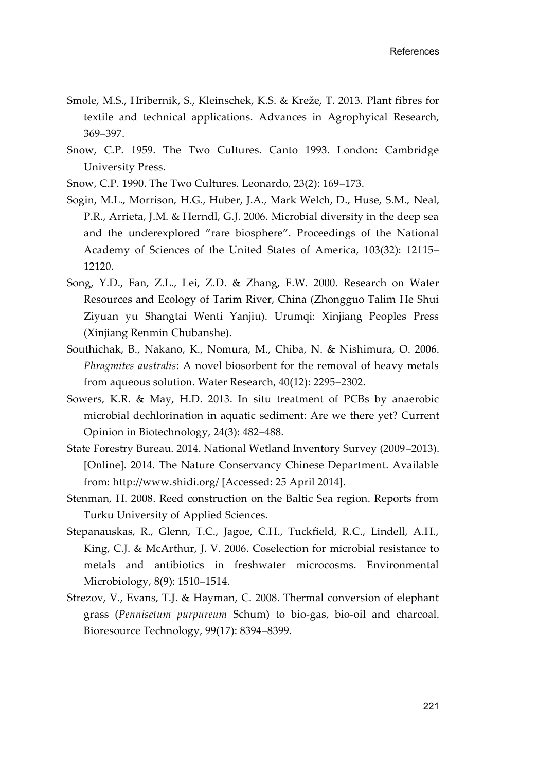- Smole, M.S., Hribernik, S., Kleinschek, K.S. & Kreže, T. 2013. Plant fibres for textile and technical applications. Advances in Agrophyical Research, 369–397.
- Snow, C.P. 1959. The Two Cultures. Canto 1993. London: Cambridge University Press.
- Snow, C.P. 1990. The Two Cultures. Leonardo, 23(2): 169–173.
- Sogin, M.L., Morrison, H.G., Huber, J.A., Mark Welch, D., Huse, S.M., Neal, P.R., Arrieta, J.M. & Herndl, G.J. 2006. Microbial diversity in the deep sea and the underexplored "rare biosphere". Proceedings of the National Academy of Sciences of the United States of America, 103(32): 12115– 12120.
- Song, Y.D., Fan, Z.L., Lei, Z.D. & Zhang, F.W. 2000. Research on Water Resources and Ecology of Tarim River, China (Zhongguo Talim He Shui Ziyuan yu Shangtai Wenti Yanjiu). Urumqi: Xinjiang Peoples Press (Xinjiang Renmin Chubanshe).
- Southichak, B., Nakano, K., Nomura, M., Chiba, N. & Nishimura, O. 2006. *Phragmites australis*: A novel biosorbent for the removal of heavy metals from aqueous solution. Water Research, 40(12): 2295–2302.
- Sowers, K.R. & May, H.D. 2013. In situ treatment of PCBs by anaerobic microbial dechlorination in aquatic sediment: Are we there yet? Current Opinion in Biotechnology, 24(3): 482–488.
- State Forestry Bureau. 2014. National Wetland Inventory Survey (2009–2013). [Online]. 2014. The Nature Conservancy Chinese Department. Available from: http://www.shidi.org/ [Accessed: 25 April 2014].
- Stenman, H. 2008. Reed construction on the Baltic Sea region. Reports from Turku University of Applied Sciences.
- Stepanauskas, R., Glenn, T.C., Jagoe, C.H., Tuckfield, R.C., Lindell, A.H., King, C.J. & McArthur, J. V. 2006. Coselection for microbial resistance to metals and antibiotics in freshwater microcosms. Environmental Microbiology, 8(9): 1510–1514.
- Strezov, V., Evans, T.J. & Hayman, C. 2008. Thermal conversion of elephant grass (*Pennisetum purpureum* Schum) to bio-gas, bio-oil and charcoal. Bioresource Technology, 99(17): 8394–8399.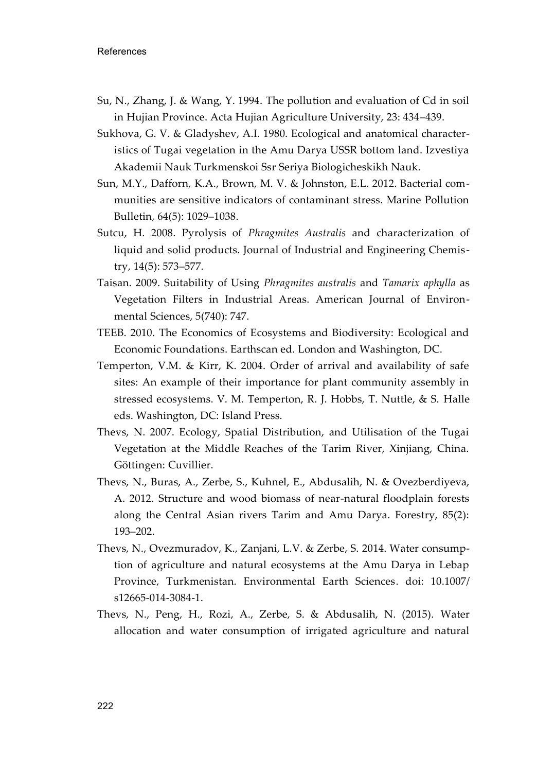- Su, N., Zhang, J. & Wang, Y. 1994. The pollution and evaluation of Cd in soil in Hujian Province. Acta Hujian Agriculture University, 23: 434–439.
- Sukhova, G. V. & Gladyshev, A.I. 1980. Ecological and anatomical characteristics of Tugai vegetation in the Amu Darya USSR bottom land. Izvestiya Akademii Nauk Turkmenskoi Ssr Seriya Biologicheskikh Nauk.
- Sun, M.Y., Dafforn, K.A., Brown, M. V. & Johnston, E.L. 2012. Bacterial communities are sensitive indicators of contaminant stress. Marine Pollution Bulletin, 64(5): 1029–1038.
- Sutcu, H. 2008. Pyrolysis of *Phragmites Australis* and characterization of liquid and solid products. Journal of Industrial and Engineering Chemistry, 14(5): 573–577.
- Taisan. 2009. Suitability of Using *Phragmites australis* and *Tamarix aphylla* as Vegetation Filters in Industrial Areas. American Journal of Environmental Sciences, 5(740): 747.
- TEEB. 2010. The Economics of Ecosystems and Biodiversity: Ecological and Economic Foundations. Earthscan ed. London and Washington, DC.
- Temperton, V.M. & Kirr, K. 2004. Order of arrival and availability of safe sites: An example of their importance for plant community assembly in stressed ecosystems. V. M. Temperton, R. J. Hobbs, T. Nuttle, & S. Halle eds. Washington, DC: Island Press.
- Thevs, N. 2007. Ecology, Spatial Distribution, and Utilisation of the Tugai Vegetation at the Middle Reaches of the Tarim River, Xinjiang, China. Göttingen: Cuvillier.
- Thevs, N., Buras, A., Zerbe, S., Kuhnel, E., Abdusalih, N. & Ovezberdiyeva, A. 2012. Structure and wood biomass of near-natural floodplain forests along the Central Asian rivers Tarim and Amu Darya. Forestry, 85(2): 193–202.
- Thevs, N., Ovezmuradov, K., Zanjani, L.V. & Zerbe, S. 2014. Water consumption of agriculture and natural ecosystems at the Amu Darya in Lebap Province, Turkmenistan. Environmental Earth Sciences. doi: 10.1007/ s12665-014-3084-1.
- Thevs, N., Peng, H., Rozi, A., Zerbe, S. & Abdusalih, N. (2015). Water allocation and water consumption of irrigated agriculture and natural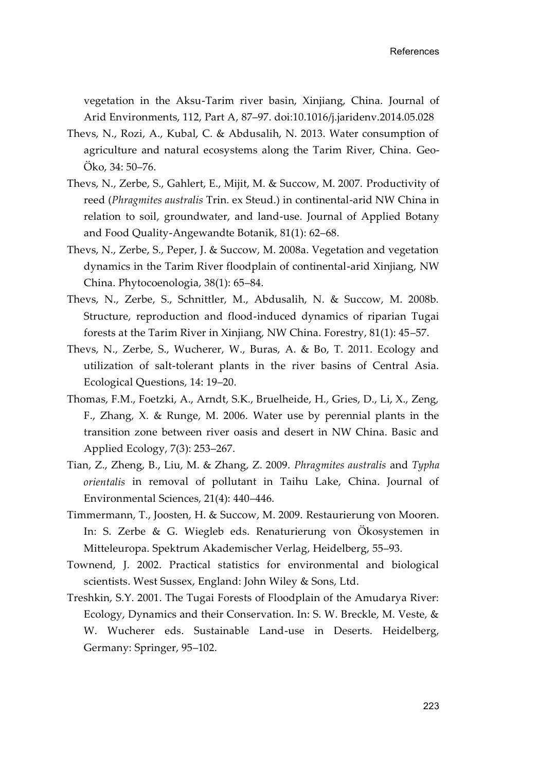vegetation in the Aksu-Tarim river basin, Xinjiang, China. Journal of Arid Environments, 112, Part A, 87–97. doi:10.1016/j.jaridenv.2014.05.028

- Thevs, N., Rozi, A., Kubal, C. & Abdusalih, N. 2013. Water consumption of agriculture and natural ecosystems along the Tarim River, China. Geo-Öko, 34: 50–76.
- Thevs, N., Zerbe, S., Gahlert, E., Mijit, M. & Succow, M. 2007. Productivity of reed (*Phragmites australis* Trin. ex Steud.) in continental-arid NW China in relation to soil, groundwater, and land-use. Journal of Applied Botany and Food Quality-Angewandte Botanik, 81(1): 62–68.
- Thevs, N., Zerbe, S., Peper, J. & Succow, M. 2008a. Vegetation and vegetation dynamics in the Tarim River floodplain of continental-arid Xinjiang, NW China. Phytocoenologia, 38(1): 65–84.
- Thevs, N., Zerbe, S., Schnittler, M., Abdusalih, N. & Succow, M. 2008b. Structure, reproduction and flood-induced dynamics of riparian Tugai forests at the Tarim River in Xinjiang, NW China. Forestry, 81(1): 45–57.
- Thevs, N., Zerbe, S., Wucherer, W., Buras, A. & Bo, T. 2011. Ecology and utilization of salt-tolerant plants in the river basins of Central Asia. Ecological Questions, 14: 19–20.
- Thomas, F.M., Foetzki, A., Arndt, S.K., Bruelheide, H., Gries, D., Li, X., Zeng, F., Zhang, X. & Runge, M. 2006. Water use by perennial plants in the transition zone between river oasis and desert in NW China. Basic and Applied Ecology, 7(3): 253–267.
- Tian, Z., Zheng, B., Liu, M. & Zhang, Z. 2009. *Phragmites australis* and *Typha orientalis* in removal of pollutant in Taihu Lake, China. Journal of Environmental Sciences, 21(4): 440–446.
- Timmermann, T., Joosten, H. & Succow, M. 2009. Restaurierung von Mooren. In: S. Zerbe & G. Wiegleb eds. Renaturierung von Ökosystemen in Mitteleuropa. Spektrum Akademischer Verlag, Heidelberg, 55–93.
- Townend, J. 2002. Practical statistics for environmental and biological scientists. West Sussex, England: John Wiley & Sons, Ltd.
- Treshkin, S.Y. 2001. The Tugai Forests of Floodplain of the Amudarya River: Ecology, Dynamics and their Conservation. In: S. W. Breckle, M. Veste, & W. Wucherer eds. Sustainable Land-use in Deserts. Heidelberg, Germany: Springer, 95–102.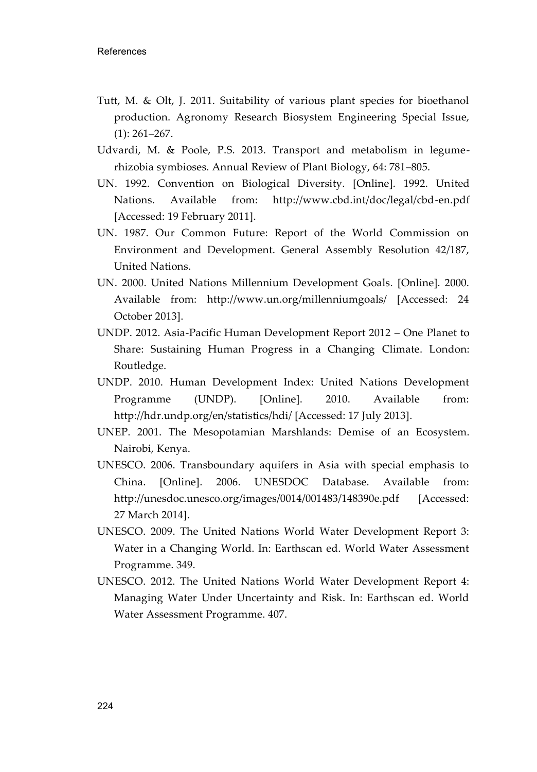- Tutt, M. & Olt, J. 2011. Suitability of various plant species for bioethanol production. Agronomy Research Biosystem Engineering Special Issue, (1): 261–267.
- Udvardi, M. & Poole, P.S. 2013. Transport and metabolism in legumerhizobia symbioses. Annual Review of Plant Biology, 64: 781–805.
- UN. 1992. Convention on Biological Diversity. [Online]. 1992. United Nations. Available from: http://www.cbd.int/doc/legal/cbd-en.pdf [Accessed: 19 February 2011].
- UN. 1987. Our Common Future: Report of the World Commission on Environment and Development. General Assembly Resolution 42/187, United Nations.
- UN. 2000. United Nations Millennium Development Goals. [Online]. 2000. Available from: http://www.un.org/millenniumgoals/ [Accessed: 24 October 2013].
- UNDP. 2012. Asia-Pacific Human Development Report 2012 One Planet to Share: Sustaining Human Progress in a Changing Climate. London: Routledge.
- UNDP. 2010. Human Development Index: United Nations Development Programme (UNDP). [Online]. 2010. Available from: http://hdr.undp.org/en/statistics/hdi/ [Accessed: 17 July 2013].
- UNEP. 2001. The Mesopotamian Marshlands: Demise of an Ecosystem. Nairobi, Kenya.
- UNESCO. 2006. Transboundary aquifers in Asia with special emphasis to China. [Online]. 2006. UNESDOC Database. Available from: http://unesdoc.unesco.org/images/0014/001483/148390e.pdf [Accessed: 27 March 2014].
- UNESCO. 2009. The United Nations World Water Development Report 3: Water in a Changing World. In: Earthscan ed. World Water Assessment Programme. 349.
- UNESCO. 2012. The United Nations World Water Development Report 4: Managing Water Under Uncertainty and Risk. In: Earthscan ed. World Water Assessment Programme. 407.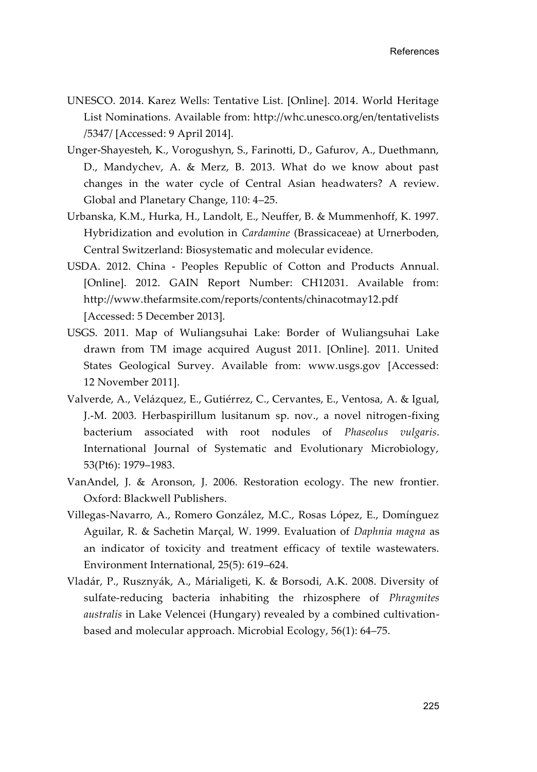- UNESCO. 2014. Karez Wells: Tentative List. [Online]. 2014. World Heritage List Nominations. Available from: http://whc.unesco.org/en/tentativelists /5347/ [Accessed: 9 April 2014].
- Unger-Shayesteh, K., Vorogushyn, S., Farinotti, D., Gafurov, A., Duethmann, D., Mandychev, A. & Merz, B. 2013. What do we know about past changes in the water cycle of Central Asian headwaters? A review. Global and Planetary Change, 110: 4–25.
- Urbanska, K.M., Hurka, H., Landolt, E., Neuffer, B. & Mummenhoff, K. 1997. Hybridization and evolution in *Cardamine* (Brassicaceae) at Urnerboden, Central Switzerland: Biosystematic and molecular evidence.
- USDA. 2012. China Peoples Republic of Cotton and Products Annual. [Online]. 2012. GAIN Report Number: CH12031. Available from: http://www.thefarmsite.com/reports/contents/chinacotmay12.pdf [Accessed: 5 December 2013].
- USGS. 2011. Map of Wuliangsuhai Lake: Border of Wuliangsuhai Lake drawn from TM image acquired August 2011. [Online]. 2011. United States Geological Survey. Available from: www.usgs.gov [Accessed: 12 November 2011].
- Valverde, A., Velázquez, E., Gutiérrez, C., Cervantes, E., Ventosa, A. & Igual, J.-M. 2003. Herbaspirillum lusitanum sp. nov., a novel nitrogen-fixing bacterium associated with root nodules of *Phaseolus vulgaris*. International Journal of Systematic and Evolutionary Microbiology, 53(Pt6): 1979–1983.
- VanAndel, J. & Aronson, J. 2006. Restoration ecology. The new frontier. Oxford: Blackwell Publishers.
- Villegas-Navarro, A., Romero González, M.C., Rosas López, E., Domínguez Aguilar, R. & Sachetin Marçal, W. 1999. Evaluation of *Daphnia magna* as an indicator of toxicity and treatment efficacy of textile wastewaters. Environment International, 25(5): 619–624.
- Vladár, P., Rusznyák, A., Márialigeti, K. & Borsodi, A.K. 2008. Diversity of sulfate-reducing bacteria inhabiting the rhizosphere of *Phragmites australis* in Lake Velencei (Hungary) revealed by a combined cultivationbased and molecular approach. Microbial Ecology, 56(1): 64–75.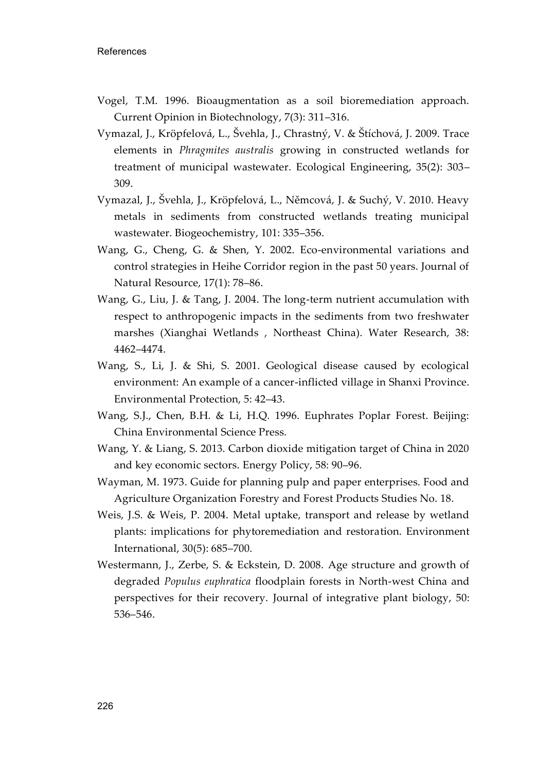- Vogel, T.M. 1996. Bioaugmentation as a soil bioremediation approach. Current Opinion in Biotechnology, 7(3): 311–316.
- Vymazal, J., Kröpfelová, L., Švehla, J., Chrastný, V. & Štíchová, J. 2009. Trace elements in *Phragmites australis* growing in constructed wetlands for treatment of municipal wastewater. Ecological Engineering, 35(2): 303– 309.
- Vymazal, J., Švehla, J., Kröpfelová, L., Němcová, J. & Suchý, V. 2010. Heavy metals in sediments from constructed wetlands treating municipal wastewater. Biogeochemistry, 101: 335–356.
- Wang, G., Cheng, G. & Shen, Y. 2002. Eco-environmental variations and control strategies in Heihe Corridor region in the past 50 years. Journal of Natural Resource, 17(1): 78–86.
- Wang, G., Liu, J. & Tang, J. 2004. The long-term nutrient accumulation with respect to anthropogenic impacts in the sediments from two freshwater marshes (Xianghai Wetlands , Northeast China). Water Research, 38: 4462–4474.
- Wang, S., Li, J. & Shi, S. 2001. Geological disease caused by ecological environment: An example of a cancer-inflicted village in Shanxi Province. Environmental Protection, 5: 42–43.
- Wang, S.J., Chen, B.H. & Li, H.Q. 1996. Euphrates Poplar Forest. Beijing: China Environmental Science Press.
- Wang, Y. & Liang, S. 2013. Carbon dioxide mitigation target of China in 2020 and key economic sectors. Energy Policy, 58: 90–96.
- Wayman, M. 1973. Guide for planning pulp and paper enterprises. Food and Agriculture Organization Forestry and Forest Products Studies No. 18.
- Weis, J.S. & Weis, P. 2004. Metal uptake, transport and release by wetland plants: implications for phytoremediation and restoration. Environment International, 30(5): 685–700.
- Westermann, J., Zerbe, S. & Eckstein, D. 2008. Age structure and growth of degraded *Populus euphratica* floodplain forests in North-west China and perspectives for their recovery. Journal of integrative plant biology, 50: 536–546.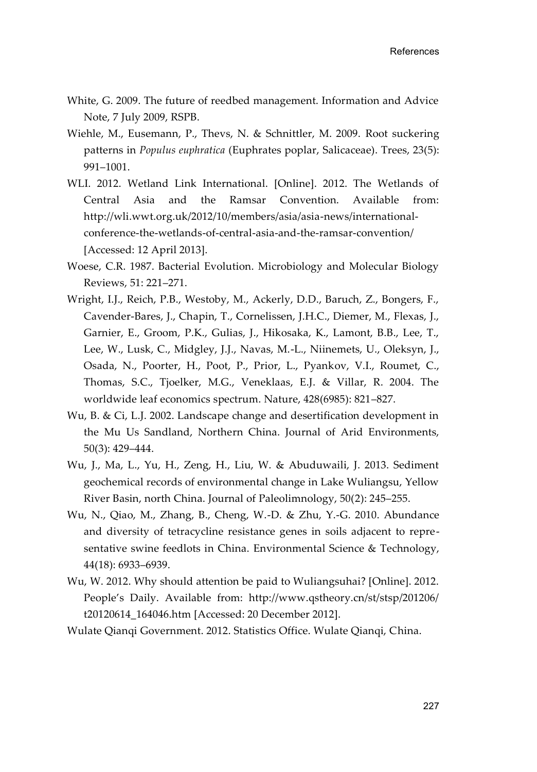- White, G. 2009. The future of reedbed management. Information and Advice Note, 7 July 2009, RSPB.
- Wiehle, M., Eusemann, P., Thevs, N. & Schnittler, M. 2009. Root suckering patterns in *Populus euphratica* (Euphrates poplar, Salicaceae). Trees, 23(5): 991–1001.
- WLI. 2012. Wetland Link International. [Online]. 2012. The Wetlands of Central Asia and the Ramsar Convention. Available from: http://wli.wwt.org.uk/2012/10/members/asia/asia-news/internationalconference-the-wetlands-of-central-asia-and-the-ramsar-convention/ [Accessed: 12 April 2013].
- Woese, C.R. 1987. Bacterial Evolution. Microbiology and Molecular Biology Reviews, 51: 221–271.
- Wright, I.J., Reich, P.B., Westoby, M., Ackerly, D.D., Baruch, Z., Bongers, F., Cavender-Bares, J., Chapin, T., Cornelissen, J.H.C., Diemer, M., Flexas, J., Garnier, E., Groom, P.K., Gulias, J., Hikosaka, K., Lamont, B.B., Lee, T., Lee, W., Lusk, C., Midgley, J.J., Navas, M.-L., Niinemets, U., Oleksyn, J., Osada, N., Poorter, H., Poot, P., Prior, L., Pyankov, V.I., Roumet, C., Thomas, S.C., Tjoelker, M.G., Veneklaas, E.J. & Villar, R. 2004. The worldwide leaf economics spectrum. Nature, 428(6985): 821–827.
- Wu, B. & Ci, L.J. 2002. Landscape change and desertification development in the Mu Us Sandland, Northern China. Journal of Arid Environments, 50(3): 429–444.
- Wu, J., Ma, L., Yu, H., Zeng, H., Liu, W. & Abuduwaili, J. 2013. Sediment geochemical records of environmental change in Lake Wuliangsu, Yellow River Basin, north China. Journal of Paleolimnology, 50(2): 245–255.
- Wu, N., Qiao, M., Zhang, B., Cheng, W.-D. & Zhu, Y.-G. 2010. Abundance and diversity of tetracycline resistance genes in soils adjacent to representative swine feedlots in China. Environmental Science & Technology, 44(18): 6933–6939.
- Wu, W. 2012. Why should attention be paid to Wuliangsuhai? [Online]. 2012. People's Daily. Available from: http://www.qstheory.cn/st/stsp/201206/ t20120614\_164046.htm [Accessed: 20 December 2012].
- Wulate Qianqi Government. 2012. Statistics Office. Wulate Qianqi, China.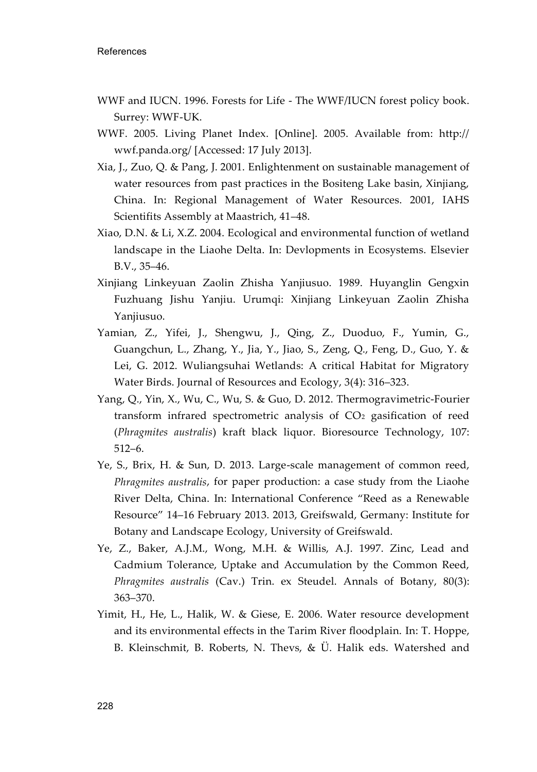- WWF and IUCN. 1996. Forests for Life The WWF/IUCN forest policy book. Surrey: WWF-UK.
- WWF. 2005. Living Planet Index. [Online]. 2005. Available from: http:// wwf.panda.org/ [Accessed: 17 July 2013].
- Xia, J., Zuo, Q. & Pang, J. 2001. Enlightenment on sustainable management of water resources from past practices in the Bositeng Lake basin, Xinjiang, China. In: Regional Management of Water Resources. 2001, IAHS Scientifits Assembly at Maastrich, 41–48.
- Xiao, D.N. & Li, X.Z. 2004. Ecological and environmental function of wetland landscape in the Liaohe Delta. In: Devlopments in Ecosystems. Elsevier B.V., 35–46.
- Xinjiang Linkeyuan Zaolin Zhisha Yanjiusuo. 1989. Huyanglin Gengxin Fuzhuang Jishu Yanjiu. Urumqi: Xinjiang Linkeyuan Zaolin Zhisha Yanjiusuo.
- Yamian, Z., Yifei, J., Shengwu, J., Qing, Z., Duoduo, F., Yumin, G., Guangchun, L., Zhang, Y., Jia, Y., Jiao, S., Zeng, Q., Feng, D., Guo, Y. & Lei, G. 2012. Wuliangsuhai Wetlands: A critical Habitat for Migratory Water Birds. Journal of Resources and Ecology, 3(4): 316–323.
- Yang, Q., Yin, X., Wu, C., Wu, S. & Guo, D. 2012. Thermogravimetric-Fourier transform infrared spectrometric analysis of  $CO<sub>2</sub>$  gasification of reed (*Phragmites australis*) kraft black liquor. Bioresource Technology, 107: 512–6.
- Ye, S., Brix, H. & Sun, D. 2013. Large-scale management of common reed, *Phragmites australis*, for paper production: a case study from the Liaohe River Delta, China. In: International Conference "Reed as a Renewable Resource" 14–16 February 2013. 2013, Greifswald, Germany: Institute for Botany and Landscape Ecology, University of Greifswald.
- Ye, Z., Baker, A.J.M., Wong, M.H. & Willis, A.J. 1997. Zinc, Lead and Cadmium Tolerance, Uptake and Accumulation by the Common Reed, *Phragmites australis* (Cav.) Trin. ex Steudel. Annals of Botany, 80(3): 363–370.
- Yimit, H., He, L., Halik, W. & Giese, E. 2006. Water resource development and its environmental effects in the Tarim River floodplain. In: T. Hoppe, B. Kleinschmit, B. Roberts, N. Thevs, & Ü. Halik eds. Watershed and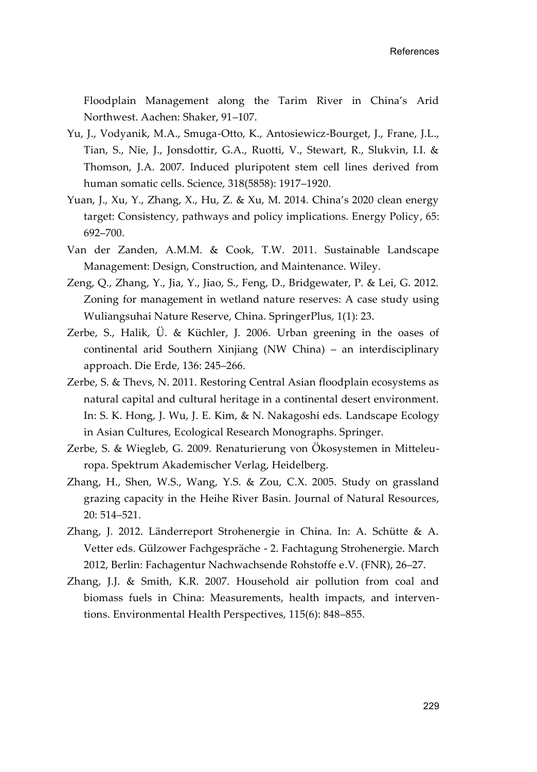Floodplain Management along the Tarim River in China's Arid Northwest. Aachen: Shaker, 91–107.

- Yu, J., Vodyanik, M.A., Smuga-Otto, K., Antosiewicz-Bourget, J., Frane, J.L., Tian, S., Nie, J., Jonsdottir, G.A., Ruotti, V., Stewart, R., Slukvin, I.I. & Thomson, J.A. 2007. Induced pluripotent stem cell lines derived from human somatic cells. Science, 318(5858): 1917–1920.
- Yuan, J., Xu, Y., Zhang, X., Hu, Z. & Xu, M. 2014. China's 2020 clean energy target: Consistency, pathways and policy implications. Energy Policy, 65: 692–700.
- Van der Zanden, A.M.M. & Cook, T.W. 2011. Sustainable Landscape Management: Design, Construction, and Maintenance. Wiley.
- Zeng, Q., Zhang, Y., Jia, Y., Jiao, S., Feng, D., Bridgewater, P. & Lei, G. 2012. Zoning for management in wetland nature reserves: A case study using Wuliangsuhai Nature Reserve, China. SpringerPlus, 1(1): 23.
- Zerbe, S., Halik, Ü. & Küchler, J. 2006. Urban greening in the oases of continental arid Southern Xinjiang (NW China) – an interdisciplinary approach. Die Erde, 136: 245–266.
- Zerbe, S. & Thevs, N. 2011. Restoring Central Asian floodplain ecosystems as natural capital and cultural heritage in a continental desert environment. In: S. K. Hong, J. Wu, J. E. Kim, & N. Nakagoshi eds. Landscape Ecology in Asian Cultures, Ecological Research Monographs. Springer.
- Zerbe, S. & Wiegleb, G. 2009. Renaturierung von Ökosystemen in Mitteleuropa. Spektrum Akademischer Verlag, Heidelberg.
- Zhang, H., Shen, W.S., Wang, Y.S. & Zou, C.X. 2005. Study on grassland grazing capacity in the Heihe River Basin. Journal of Natural Resources, 20: 514–521.
- Zhang, J. 2012. Länderreport Strohenergie in China. In: A. Schütte & A. Vetter eds. Gülzower Fachgespräche - 2. Fachtagung Strohenergie. March 2012, Berlin: Fachagentur Nachwachsende Rohstoffe e.V. (FNR), 26–27.
- Zhang, J.J. & Smith, K.R. 2007. Household air pollution from coal and biomass fuels in China: Measurements, health impacts, and interventions. Environmental Health Perspectives, 115(6): 848–855.